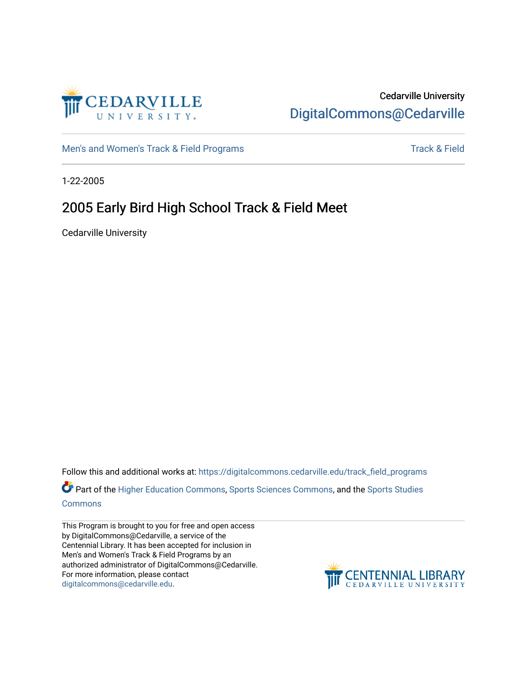

### Cedarville University [DigitalCommons@Cedarville](https://digitalcommons.cedarville.edu/)

[Men's and Women's Track & Field Programs](https://digitalcommons.cedarville.edu/track_field_programs) [Track & Field](https://digitalcommons.cedarville.edu/track_and_field) Structure and Momen's Track & Field

1-22-2005

# 2005 Early Bird High School Track & Field Meet

Cedarville University

Follow this and additional works at: [https://digitalcommons.cedarville.edu/track\\_field\\_programs](https://digitalcommons.cedarville.edu/track_field_programs?utm_source=digitalcommons.cedarville.edu%2Ftrack_field_programs%2F51&utm_medium=PDF&utm_campaign=PDFCoverPages)  Part of the [Higher Education Commons,](http://network.bepress.com/hgg/discipline/1245?utm_source=digitalcommons.cedarville.edu%2Ftrack_field_programs%2F51&utm_medium=PDF&utm_campaign=PDFCoverPages) [Sports Sciences Commons,](http://network.bepress.com/hgg/discipline/759?utm_source=digitalcommons.cedarville.edu%2Ftrack_field_programs%2F51&utm_medium=PDF&utm_campaign=PDFCoverPages) and the [Sports Studies](http://network.bepress.com/hgg/discipline/1198?utm_source=digitalcommons.cedarville.edu%2Ftrack_field_programs%2F51&utm_medium=PDF&utm_campaign=PDFCoverPages)  **[Commons](http://network.bepress.com/hgg/discipline/1198?utm_source=digitalcommons.cedarville.edu%2Ftrack_field_programs%2F51&utm_medium=PDF&utm_campaign=PDFCoverPages)** 

This Program is brought to you for free and open access by DigitalCommons@Cedarville, a service of the Centennial Library. It has been accepted for inclusion in Men's and Women's Track & Field Programs by an authorized administrator of DigitalCommons@Cedarville. For more information, please contact [digitalcommons@cedarville.edu](mailto:digitalcommons@cedarville.edu).

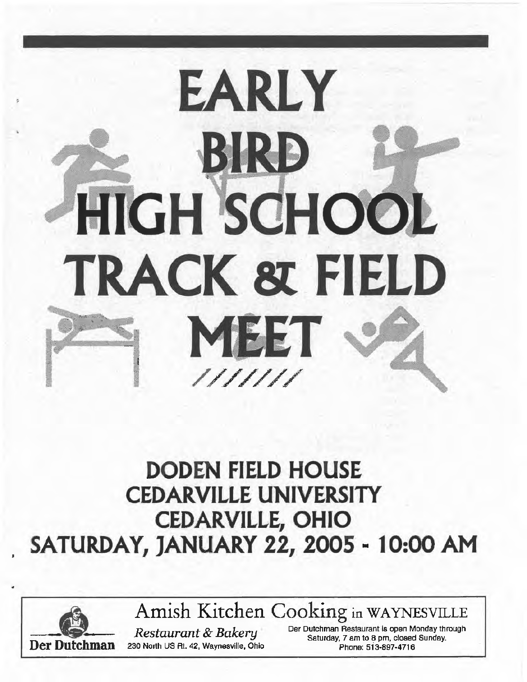# **EARLY EIRD**<br>HIGH SCHOOL TRACK & FIELD **MEET** I

# **DODEN FIELD HOUSE CEDARVILLE UNIVERSITY CEDARVILLE, OHIO**  \_ **SATURDAY, JANUARY 22, 2005** - **10:00 AM**



A Amish Kitchen Cooking in WAYNESVILLE

**Per Dutchman Restaurant & Bakery** Der Dutchman Restaurant is open Monday through Saturday, 7 am to 8 pm, closed Sunday.<br>**Der Dutchman** 230 North US Rt. 42, Waynesville, Ohio Phone: 513-897-4716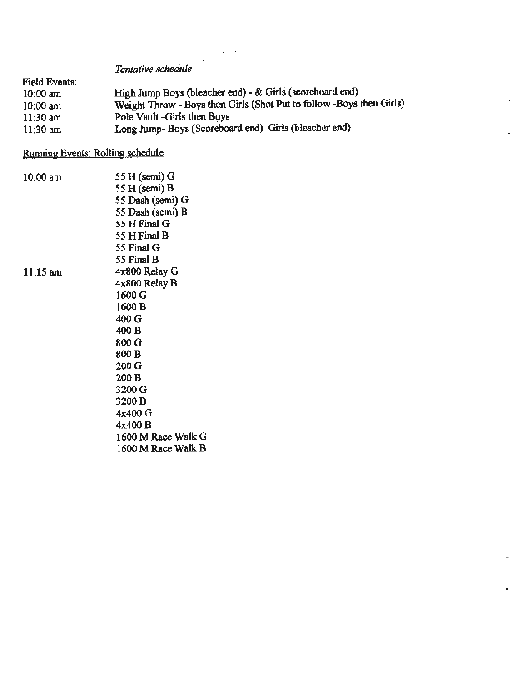*Tentative schedule* 

| Field Events: |                                                                       |
|---------------|-----------------------------------------------------------------------|
| $10:00$ am    | High Jump Boys (bleacher end) - & Girls (scoreboard end)              |
| $10:00$ am    | Weight Throw - Boys then Girls (Shot Put to follow - Boys then Girls) |
| $11:30$ am    | Pole Vault -Girls then Boys                                           |
| $11:30$ am    | Long Jump-Boys (Scoreboard end) Girls (bleacher end)                  |

 $\sim$   $^{-1}$ 

#### Running Events: Rolling schedule

10:00 am

11:15 am

55 **H** (semi) G\_ *55* H(semi)B 55 Dash (semi) G *55* Dash (semi) B 55 H Final G 55 HFinal B 55 Final G *55* Final B 4x800 Relay G 4x800 Relay B 1600G 1600B 400G 400B 800 G 800B 200 G 200B 3200 G 3200B 4x400G 4x400B 1600 MRace Walk G 1600 M Race Walk B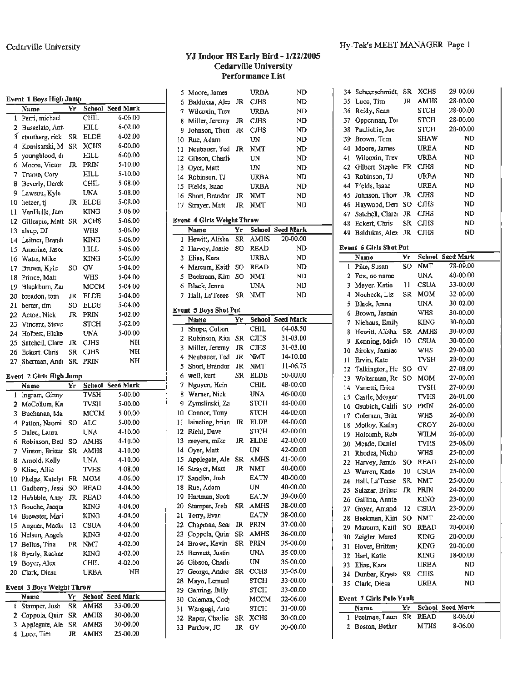L.

|              | Name            | Yr        | School      | <b>Seed Mark</b> |
|--------------|-----------------|-----------|-------------|------------------|
| $\mathbf{1}$ | Perri, michael  |           | CHIL        | 6-06.00          |
| 2            | Busselato, Anti |           | HILL        | $6 - 02.00$      |
| ĭ            | stautberg, rick | SR.       | <b>ELDE</b> | 6-02.00          |
| 4            | Komisarski, M   | SR        | <b>XCHS</b> | 6-00.00          |
| 5            | youngblood, de  |           | <b>HILL</b> | $6 - 00.00$      |
| 6            | Moore, Victor   | JR        | PRIN        | 5-10.00          |
| 7            | Trump, Cory     |           | <b>HILL</b> | 5-10.00          |
| 8            | Beverly, Derek  |           | CHIL        | 5-08.00          |
| 9.           | Lawson, Kyle    |           | UNA         | 5-08.00          |
| 10           | hetzer, ti      | <b>JR</b> | <b>ELDE</b> | 5-08.00          |
| 11           | VanHulle, Jam   |           | <b>KING</b> | 5-06.00          |
| 12           | Gillespie, Matt | SR        | <b>XCHS</b> | 5-06.00          |
| 13           | alsup, DJ       |           | <b>WHS</b>  | 5-06.00          |
| 14           | Leitner, Brandı |           | <b>KING</b> | 5-06.00          |
| 15           | Amerine, Jasor  |           | <b>HILL</b> | 5-06.00          |
| 16           | Watts, Mike     |           | <b>KING</b> | 5-06.00          |
| 17           | Brown, Kyle     | SO        | G٧          | 5-04.00          |
| 18           | Prince, Matt    |           | WHS         | 5-04.00          |
| 19           | Blackburn, Zar  |           | <b>MCCM</b> | 5-04.00          |
| 20           | breadon, tom    | JR.       | <b>ELDE</b> | 5-04.00          |
| 21           | berter, tim     | SO.       | <b>ELDE</b> | 5-04.00          |
| 22           | Acton, Nick     | JR        | PRIN        | 5-02.00          |
| 23           | Vincent, Steve  |           | STCH        | 5-02.00          |
| 24           | Holbert, Blake  |           | UNA         | 5-00.00          |
| 25.          | Satchell, Clare | JR        | <b>CJHS</b> | NH               |
| 26           | Eckert, Chris   | SR        | <b>CJHS</b> | NH               |
| 27           | Sherman, Andi   | SR.       | PRIN        | NH               |

#### **Event** 2 **Girls High Jump**

|    | Name                      | Yr  | School      | <b>Seed Mark</b> |
|----|---------------------------|-----|-------------|------------------|
| 1  | Ingram, Ginny             |     | TVSH        | 5-00.00          |
| 2. | McCollum, Ka              |     | TVSH        | 5-00.00          |
| 3. | Buchanan, Ma              |     | MCCM        | 5-00.00          |
| 4  | Patton, Naomi             | SO. | ALC         | 5-00.00          |
| 5  | Dalea, Laura              |     | UNA         | 4-10.00          |
| 6  | Robinson, Betl            | SO  | AMHS        | 4-10.00          |
| 7  | Vinson, Brittar           | SR  | <b>AMHS</b> | 4-10.00          |
| 8  | Amold, Kelly              |     | UNA         | 4-10.00          |
| 9  | Klise, Allie              |     | TVHS        | 4-08.00          |
| 10 | Phelps, Katelyt           | FR  | мом         | 4-06.00          |
| 11 | Gadberry, Jessi           | SO  | <b>READ</b> | 4-04.00          |
| 12 | Hubbble, Amy              | JR  | READ        | 4-04.00          |
| 13 | Bouche, Jacqui            |     | KING.       | 4-04.00          |
| 14 | Brewster, Mari            |     | KING        | 4-04.00          |
| 15 | Angner, Macko             | 12  | <b>CSUA</b> | 4-04.00          |
| 16 | Nelson, Angela            |     | KING        | 4-02.00          |
| 17 | Bellus, Tina              | FR  | NMT         | 4-02.00          |
| 18 | <b>Byerly, Rachae</b>     |     | KING.       | 4-02.00          |
| 19 | Boyer, Alex               |     | CHIL        | 4-02.00          |
| 20 | Clark, Diesa              |     | <b>URBA</b> | NH               |
|    | Event 3 Boys Weight Throw |     |             |                  |
|    | Name                      | Yг  |             | School Seed Mark |

|  | гапе                     | rг. |      | <b>SCHOOL SEERIMER</b> |  |
|--|--------------------------|-----|------|------------------------|--|
|  | i Stamper, Josh SR AMHS  |     |      | 33-00.00               |  |
|  | 2 Coppola Quin SR AMHS   |     |      | 30-00.00               |  |
|  | 3 Applegate, Ale SR AMHS |     |      | 30-00.00               |  |
|  | 4 Luce, Tim              | JR. | AMHS | 25-00.00               |  |

#### YJ Indoor HS Early **Bird** - 1/22/2005 Cedarville University Performance List

|          | Moore, James                      |          | URBA          | ND                   |  |
|----------|-----------------------------------|----------|---------------|----------------------|--|
| 5<br>б   | Baldukas, Alex                    | JR       | <b>CJHS</b>   | ND                   |  |
| 7        | Wilcoxin, Trev                    |          | URBA          | ND                   |  |
|          |                                   |          |               |                      |  |
| 8        | Miller, Jeremy                    | JR       | <b>CJHS</b>   | ND                   |  |
| 9        | Johnson, Thorr                    | JR       | <b>CJHS</b>   | ND                   |  |
| 10       | Rue, Adam                         |          | UN            | ND                   |  |
| 11       | Neubauer, Ted                     | JR.      | <b>NMT</b>    | ND                   |  |
| 12       | Gibson, Charli-                   |          | UN            | ND                   |  |
| 13       | Oyer, Matt                        |          | UN            | ND                   |  |
| 14       | Robinson, TJ                      |          | <b>URBA</b>   | ND                   |  |
| 15       | Fields, Isaac                     |          | URBA          | ND                   |  |
| 16       | Short, Brandor.                   | JR       | NMT           | ND                   |  |
| 17       | Strayer, Matt                     | JR       | NMT           | ND                   |  |
|          | <b>Event 4 Girls Weight Throw</b> |          |               |                      |  |
|          | Name                              | Yr       | School        | <b>Seed Mark</b>     |  |
| ı        | Hewitt, Alisha                    | SR       | AMHS          | 20-00.00             |  |
| 2        | Harvey, Jamie                     | so       | READ          | ND                   |  |
|          |                                   |          |               |                      |  |
| 3        | Elias, Kara                       |          | URBA          | ND                   |  |
| 4        | Marcum, Kaith                     | SO       | <b>READ</b>   | ND                   |  |
| 5        | Beekman, Kim                      | SO       | NMT           | ND                   |  |
| 6        | Black, Jenna                      |          | UNA           | ND                   |  |
| 7        | Hall, La'Teese                    | SR       | NMT           | ND                   |  |
|          | <b>Event 5 Boys Shot Put</b>      |          |               |                      |  |
|          | Name                              | Yr       | <b>School</b> | <b>Seed Mark</b>     |  |
| ı        | Shope, Colton                     |          | CHIL          | 64-08.50             |  |
| 2        | Robinson, Rior                    | SR       | CIHS          | 31-03.00             |  |
| 3        | Miller, Jeremy                    | JR       | <b>CIHS</b>   | 31-03.00             |  |
| 4        | Neubauer, Ted                     | JR       | NMT           | 14-10.00             |  |
| 5        | Short, Brandor                    | JR.      | NMT           | 11-06.75             |  |
| 6        | weil, kurt                        | SR       | ELDE          | 50-00.00             |  |
| 7        | Nguyen, Hein                      |          | CHIL          | 48-00.00             |  |
| 8        | Warner, Nick                      |          | UNA           | 46-00.00             |  |
|          |                                   |          |               | 44-00.00             |  |
| 9        |                                   |          | STCH          |                      |  |
|          | Zymslinski, Za                    |          |               |                      |  |
| 10       | Connor, Tony                      |          | <b>STCH</b>   | 44-00.00             |  |
| Ħ        | laiveling, brian                  | JR       | <b>ELDE</b>   | 44-00.00             |  |
| 12       | Riehl, Dave                       |          | STCH          | 42-00.00             |  |
| 13       | mevers, mike                      | JR       | <b>ELDE</b>   | 42-00.00             |  |
| 14       | Oyer, Matt                        |          | UN            | 42-00.00             |  |
| 15       | Applegate, Ale                    | SR       | AMHS          | 41-00.00             |  |
| 16       | Strayer, Matt                     | JR       | NMT           | 40-00.00             |  |
| 17       | Sandlin, Josh                     |          | EATN          | 40-00.00             |  |
| 18       | Rue, Adam                         |          | UN            | 40-00.00             |  |
| 19       | Hariman, Scoti                    |          | EATN          | 39-00.00             |  |
| 20       | Stamper, Josh                     | SR       | AMHS          | 38-00.00             |  |
| 21       | Terry, Evan                       |          | EATN          | 38-00.00             |  |
|          |                                   |          | PRIN          | 37-00.00             |  |
| 22       | Chapman, Sear                     | JR.      |               |                      |  |
| 23       | Coppola, Quin                     | SR       | AMHS          | 36-00.00             |  |
| 24       | Brown, Kevin                      | SR       | PRIN          | 35-00.00             |  |
| 25       | Bennett, Justin                   |          | UNA           | 35-00.00             |  |
| 26       | Gibson, Charli-                   |          | UN            | 35-00.00             |  |
| 27       | George, Andre                     | SR       | <b>CCHS</b>   | 33-05.00             |  |
| 28       | Mayo, Lemuel                      |          | STCH          | 33-00.00             |  |
| 29       | Gehring, Billy                    |          | STCH          | 33-00.00             |  |
| 30       | Coleman, Cody                     |          | мссм          | 32-06.00             |  |
| 31       | Wangugi, Arro                     |          | STCH          | 31-00.00             |  |
| 32<br>33 | Raper, Charlie<br>Partlow, JC     | SR<br>JR | XCHS<br>GV    | 30-00.00<br>30-00.00 |  |

| Hy-Tek's MEET MANAGER Page 1 |  |
|------------------------------|--|
|                              |  |
|                              |  |

| 34. | Scheerschmidt,                  | SR  | <b>XCHS</b> | 29-00.00         |  |  |  |  |  |  |  |  |
|-----|---------------------------------|-----|-------------|------------------|--|--|--|--|--|--|--|--|
| 35  | Luce, Tim                       | JR  | <b>AMHS</b> | 28-00.00         |  |  |  |  |  |  |  |  |
| 36  | Reidy, Sean                     |     | <b>STCH</b> | 28-00.00         |  |  |  |  |  |  |  |  |
| 37  | Opperman, Tor                   |     | <b>STCH</b> | 28-00.00         |  |  |  |  |  |  |  |  |
| 38  | Paulichie, Joe                  |     | STCH        | 28-00.00         |  |  |  |  |  |  |  |  |
| 39  | Brown, Tom                      |     | SHAW        | ND               |  |  |  |  |  |  |  |  |
| 40  | Moore, James                    |     | <b>URBA</b> | ND               |  |  |  |  |  |  |  |  |
| 41  | Wilcoxin, Trev                  |     | URBA        | ND               |  |  |  |  |  |  |  |  |
| 42  | Gilbert, Stephe                 | FR  | <b>CJHS</b> | ND               |  |  |  |  |  |  |  |  |
| 43  | Robinson, TJ                    |     | URBA        | ND               |  |  |  |  |  |  |  |  |
| 44  | Fields, Isaac                   |     | URBA        | ND               |  |  |  |  |  |  |  |  |
| 45  | Johnson, Thorr                  | JR  | <b>CJHS</b> | ND               |  |  |  |  |  |  |  |  |
| 46  | Haywood, Den                    | SO. | CJHS        | ND               |  |  |  |  |  |  |  |  |
| 47  | Satchell, Clare                 | JR  | <b>CJHS</b> | ND               |  |  |  |  |  |  |  |  |
| 48. | Eckert, Chris                   | SR  | <b>CJHS</b> | ND               |  |  |  |  |  |  |  |  |
| 49  | Baldukas, Alex                  | JR  | CJHS        | ND               |  |  |  |  |  |  |  |  |
|     |                                 |     |             |                  |  |  |  |  |  |  |  |  |
|     | <b>Event 6 Girls Shot Put</b>   |     |             |                  |  |  |  |  |  |  |  |  |
|     | Name                            | Yr  | School      | <b>Seed Mark</b> |  |  |  |  |  |  |  |  |
| ı   | Pike, Susan                     | SO  | NMT         | 78-09.00         |  |  |  |  |  |  |  |  |
| 2   | Fox, no name                    |     | <b>UNA</b>  | 40-00.00         |  |  |  |  |  |  |  |  |
| 3   | Meyer, Katie                    | 11. | <b>CSUA</b> | 33-00.00         |  |  |  |  |  |  |  |  |
| 4   | Nocheck, Liz                    | SR  | MOM         | 32-00.00         |  |  |  |  |  |  |  |  |
| 5   | Black, Jenna                    |     | UNA         | 30-02.00         |  |  |  |  |  |  |  |  |
| б   | Brown, Jasmin                   |     | WHS         | 30-00.00         |  |  |  |  |  |  |  |  |
| 7   | Niehaus, Emily                  |     | KING        | 30-00.00         |  |  |  |  |  |  |  |  |
| 8   | Hewitt, Alisha                  | SR  | AMHS        | 30-00.00         |  |  |  |  |  |  |  |  |
| 9   | Kenning, Mich                   | 10  | <b>CSUA</b> | 30-00.00         |  |  |  |  |  |  |  |  |
| 10  | Siroky, Jamiac                  |     | WHS         | 29-00.00         |  |  |  |  |  |  |  |  |
| 11  | Ervin, Kate                     |     | TVSH        | 28-00.00         |  |  |  |  |  |  |  |  |
| 12  | Talkington, He                  | SO  | G٧          | 27-08.00         |  |  |  |  |  |  |  |  |
| 13. | Wolterman, Re                   | SO. | MOM         | 27-00.00         |  |  |  |  |  |  |  |  |
| 14  | Vanetti, Erica                  |     | TVSH        | 27-00.00         |  |  |  |  |  |  |  |  |
| 15. | Castle, Morgar                  |     | <b>TVHS</b> | 26-01.00         |  |  |  |  |  |  |  |  |
| 16  | Grubich, Caitli                 | SO  | PRIN        | 26-00.00         |  |  |  |  |  |  |  |  |
| 17. | Coleman, Britt                  |     | WHS         | 26-00.00         |  |  |  |  |  |  |  |  |
| 18  | Molloy, Kathry                  |     | CROY        | 26-00.00         |  |  |  |  |  |  |  |  |
| 19. | Holcomb, Reb:                   |     | WILM        | 26-00.00         |  |  |  |  |  |  |  |  |
| 20  | Meade, Daniel                   |     | TVHS        | 25-06.00         |  |  |  |  |  |  |  |  |
| 21  | Rhodes, Nicho                   |     | WHS         | 25-00.00         |  |  |  |  |  |  |  |  |
| 22  | Harvey, Jamie                   | SO  | READ        | 25-00.00         |  |  |  |  |  |  |  |  |
| 23  | Warren, Katie                   | 10  | <b>CSUA</b> | 25-00.00         |  |  |  |  |  |  |  |  |
| 24  | Hall, La'Teese                  | SR  | NMT         | 25-00.00         |  |  |  |  |  |  |  |  |
| 25  | Salazar, Britne                 | JR  | PRIN        | 24-00.00         |  |  |  |  |  |  |  |  |
| 26. | Gallina, Annie                  |     | KING        | 23-00.00         |  |  |  |  |  |  |  |  |
| 27  | Goyer, Amand:                   | 12  | CSUA        | 23-00.00         |  |  |  |  |  |  |  |  |
| 28  | Beekman, Kim                    | SO  | <b>NMT</b>  | 22-00.00         |  |  |  |  |  |  |  |  |
| 29. | Marcum, Kaitl                   | SO  | READ        | 20-00.00         |  |  |  |  |  |  |  |  |
| 30  | Zeigler, Mered                  |     | KING        | 20-00.00         |  |  |  |  |  |  |  |  |
| 31  | Hover, Brittany                 |     | KING        | 20-00.00         |  |  |  |  |  |  |  |  |
| 32  | Harl, Katie                     |     | KING        | 18-00.00         |  |  |  |  |  |  |  |  |
| 33  | Elias, Kara                     |     | URBA        | ND               |  |  |  |  |  |  |  |  |
| 34  | Dunbar, Krysta                  | SR  | CJHS        | ND               |  |  |  |  |  |  |  |  |
| 35  | Clark, Diesa                    |     | URBA        | ND               |  |  |  |  |  |  |  |  |
|     |                                 |     |             |                  |  |  |  |  |  |  |  |  |
|     | <b>Event 7 Girls Pole Vault</b> |     |             |                  |  |  |  |  |  |  |  |  |
|     | Name                            | Yr  | School      | Seed Mark        |  |  |  |  |  |  |  |  |
| 1   | Peelman, Laun                   | SR  | READ        | 8-06.00          |  |  |  |  |  |  |  |  |
| 2   | Boston, Bethar                  |     | MTHS        | 8-06.00          |  |  |  |  |  |  |  |  |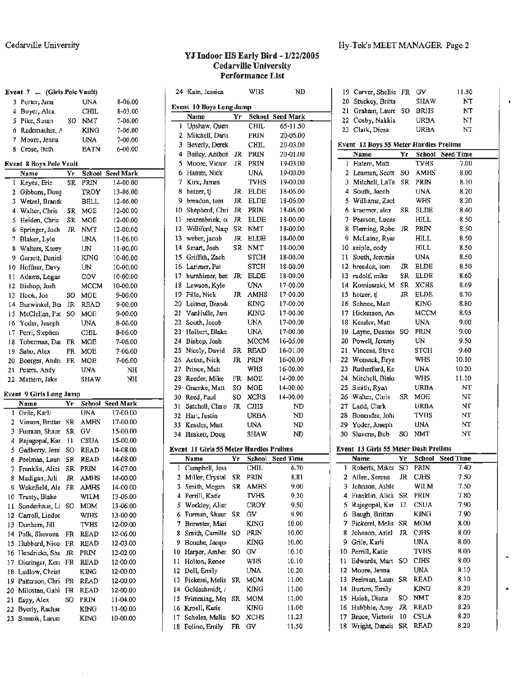$\blacksquare$ 

#### **YJ Indoor HS Early Bird** - **1/22/2005 Cedarville University Performance List**

|     | Event 7  (Girls Pole Vault)    |           |             |                  |         | 24 Kain, Jessica                               |             | WHS             | ND                                  |          | 19 Carver, Shellie FR GV               |                 |             | 11.50                    |
|-----|--------------------------------|-----------|-------------|------------------|---------|------------------------------------------------|-------------|-----------------|-------------------------------------|----------|----------------------------------------|-----------------|-------------|--------------------------|
|     | 3 Porter, Jana                 |           | UNA         | 8-06.00          |         |                                                |             |                 |                                     |          | 20 Stuckey, Britta                     |                 | <b>SHAW</b> | NT                       |
|     | 4 Boyer, Alex                  |           | <b>CHIL</b> | 8-03.00          |         | Event 10 Boys Long Jump                        |             |                 |                                     | 21       | Graham, Laure SO                       |                 | <b>BRHS</b> | NT                       |
|     | 5 Pike, Susan                  | SO.       | <b>NMT</b>  | 7-06.00          |         | Name                                           | Yr          | CHIL            | <b>School Seed Mark</b><br>65-11.50 |          | 22 Cosby, Nakkia                       |                 | <b>URBA</b> | NT                       |
|     | 6 Rademacher, $A$              |           | <b>KING</b> | 7-06.00          |         | Upshaw, Quen<br>2 Mitchell, Darit              |             | PRIN            | 20-06.00                            |          | 23 Clark, Diesa                        |                 | <b>URBA</b> | NT                       |
|     | 7 Moore, Jenna                 |           | <b>UNA</b>  | 7-00.00          |         | 3 Beverly, Derek                               |             | CHIL            | 20-03.00                            |          | Event 12 Boys 55 Meter Hurdles Prelims |                 |             |                          |
|     | 8 Crose, Beth                  |           | <b>EATN</b> | 6-00.00          |         | 4 Bailey, Anthon                               |             | JR PRIN         | 20-01.00                            |          | Name                                   | Yr              |             | School Seed Time         |
|     | <b>Event 8 Boys Pole Vault</b> |           |             |                  |         | 5 Moore, Victor                                |             | JR PRIN         | 19-03.00                            |          | 1 Hatem, Matt                          |                 | <b>TVHS</b> | 7.00                     |
|     | Name                           | Yr.       |             | School Seed Mark | 6.      | Hamm, Nick                                     |             | <b>UNA</b>      | 19-00.00                            |          | 2 Learnan, Scott SO                    |                 | AMHS        | 8.00                     |
|     | 1 Keyes, Eric                  | <b>SR</b> | PRIN        | 14-00.00         |         | 7 Kirk, James                                  |             | <b>TVHS</b>     | 19-00.00                            |          | 3 Mitchell, LaTa SR                    |                 | PRIN        | 8.10                     |
|     | 2 Gibbons, Doug                |           | TROY        | 13-06.00         |         | 8 hetzer, tj                                   |             | JR ELDE         | 18-06.00                            | 4        | South, Jacob                           |                 | <b>UNA</b>  | 8.20                     |
|     | 3 Wetzel, Brando               |           | <b>BELL</b> | 12-06.00         |         | 9 breadon, tom                                 | JR          | ELDE            | 18-06.00                            |          | 5 Williams, Zach                       |                 | WHS         | 8.20                     |
| 4   | Walter, Chris                  |           | SR MOE      | 12-00.00         | 10.     | Shepherd, Chri JR                              |             | PRIN            | 18-06.00                            |          | 6 kraemer, alex SR ELDE                |                 |             | 8.40                     |
|     | 5 Heiden, Chris                | SR        | <b>MOE</b>  | 12-00.00         | 11      | renzenbrink, et                                | JR          | ELDE            | 18-00.00                            |          | 7 Pearson, Lucas                       |                 | <b>HILL</b> | 8.50                     |
| 6.  | Springer, Josh                 | JR        | <b>NMT</b>  | 12-00.00         |         | 12 Williford, Nagr                             |             | SR NMT          | 18-00.00                            |          | 8 Fleming, Robe: JR                    |                 | PRIN        | 8.50                     |
|     | 7 Blaker, Lyle                 |           | <b>UNA</b>  | 11-06.00         |         | 13 webcr, jacob                                |             | JR ELDE         | 18-00.00                            |          | 9 McLaine, Ryar                        |                 | <b>HILL</b> | 8.50                     |
|     | 8 Walters, Korey               |           | UN          | 11-00.00         |         | 14 Smart, Josh                                 |             | SR NMT          | 18-00.00                            | 10       | seiple, cody                           |                 | HILL        | 8.50                     |
| 9.  | Garrett, Daniel                |           | KING        | 10-00.00         | 15      | Griffith, Zach                                 |             | <b>STCH</b>     | 18-00.00                            | 11       | South, Jeremia                         |                 | <b>UNA</b>  | 8.50                     |
|     | 10 Hoffner, Davy               |           | UN          | 10-00.00         |         | 16 Larimer, Pat                                |             | <b>STCH</b>     | 18-00.00                            | 12       | breadon, tom                           | JR.             | <b>ELDE</b> | 8.50                     |
| 11  | Adams, Legan                   |           | COV         | 10-00.00         |         | 17 burnhimer, bet                              |             | JR ELDE         | 18-00.00                            | 13       | rudolf, mike                           | SR              | <b>ELDE</b> | 8.60                     |
|     | 12 Bishop, Josh                |           | MCCM        | 10-00.00         |         | 18 Lawson, Kyle                                |             | UNA             | 17-00.00                            |          | 14 Komisarski, M SR XCHS               |                 |             | 8.69                     |
|     | 13 Hook, Joe                   | SO        | MOE         | 9-00.00          |         | 19 Fille, Nick                                 |             | JR AMHS         | 17-00.00                            |          | 15 hetzer, tj                          |                 | JR ELDE     | 8.70                     |
|     | 14 Burwinkel, Ber              | JR        | <b>READ</b> | 9-00.00          |         | 20 Leitner, Brando                             |             | <b>KING</b>     | 17-00.00                            | 16       | Schnee, Matt                           |                 | <b>KING</b> | 8.80                     |
|     | 15 McClellan, Pat SO           |           | <b>MOE</b>  | 9-00.00          | 21      | VanHulle, Jam                                  |             | <b>KING</b>     | 17-00.00                            | 17       | Hickerson, Ano                         |                 | <b>MCCM</b> | 8.95                     |
|     | 16 Yoder, Joseph               |           | <b>UNA</b>  | 8-06.00          | 22      | South, Jacob                                   |             | <b>UNA</b>      | 17-00.00                            | 18       | Kessler, Matt                          |                 | <b>UNA</b>  | 9.00                     |
| 17  | Perri, Stephen                 |           | <b>CHIL</b> | 8-06.00          |         | 23 Holbert, Blake                              |             | <b>UNA</b>      | 17-00.00                            | 19       | Layne, Desmoi SO                       |                 | PRIN        | 9.00                     |
|     | 18 Toberman, Dai FR MOE        |           |             | 7-06.00          |         | 24 Bishop, Josh                                |             | <b>MCCM</b>     | 16-05.00                            | 20       | Powell, Jeremy                         |                 | UN          | 9.50                     |
| 19. | Sabo, Alex                     |           | FR MOE      | 7-06.00          |         | 25 Nicely, David                               | SR          | READ            | 16-01.00                            | 21       | Vincent, Steve                         |                 | <b>STCH</b> | 9.60                     |
| 20. | Boerger, Andre FR MOE          |           |             | 7-06.00          | 26      | Acton, Nick                                    |             | JR PRIN         | 16-00.00                            | 22       | Womack, Brya                           |                 | WHS         | 10.10                    |
|     | 21 Peters, Andy                |           | <b>UNA</b>  | $\rm{NH}$        |         | 27 Prince, Matt                                |             | WHS             | 16-00.00                            | 23       | Rutherford, Kc                         |                 | <b>UNA</b>  | 10.20                    |
|     | 22 Mattern, Jake               |           | <b>SHAW</b> | $_{\rm NH}$      |         | 28 Reeder, Mike                                |             | FR MOE          | 14-00.00                            | 24       | Mitchell, Blake                        |                 | WHS         | 11.10                    |
|     |                                |           |             |                  | 29      | Gramke, Matt                                   | so          | <b>MOE</b>      | 14-00.00                            | 25       | Smith, Ryan                            |                 | <b>URBA</b> | <b>NT</b>                |
|     | <b>Event 9 Girls Long Jump</b> |           |             |                  | 30      | Reed, Paul                                     | SO.         | XCHS            | 14-00.00                            | 26       | Walter, Chris                          |                 | SR MOE      | NT                       |
|     | Name                           | Yr.       |             | School Seed Mark | 31      | Satchell, Clare                                |             | JR CJHS         | <b>ND</b>                           | 27       | Ladd, Clark                            |                 | <b>URBA</b> | NT                       |
|     | 1 Grile, Karli                 |           | <b>UNA</b>  | 17-00.00         |         | 32 Hart, Justin                                |             | <b>URBA</b>     | <b>ND</b>                           | 28       | Bonender, Joha                         |                 | <b>TVHS</b> | NT                       |
|     | Vinson, Brittar SR AMHS        |           |             | 17-00.00         |         | 33 Kessler, Matt                               |             | <b>UNA</b>      | <b>ND</b>                           | 29       | Yoder, Joseph                          |                 | <b>UNA</b>  | NT                       |
| 3.  | Furman, Shaur SR               |           | GV          | 15-00.00         |         | 34 Heskett, Doug                               |             | <b>SHAW</b>     | <b>ND</b>                           | 30       | Slavens, Bob                           |                 | SO NMT      | <b>NT</b>                |
|     | 4 Rajagopal, Kar 11            |           | <b>CSUA</b> | 15-00.00         |         |                                                |             |                 |                                     |          |                                        |                 |             |                          |
|     | 5 Gadberry, Jessi SO READ      |           |             | 14-08.00         |         | <b>Event 11 Girls 55 Meter Hurdles Prelims</b> |             |                 |                                     |          | Event 13 Girls 55 Meter Dash Prelims   |                 |             |                          |
| 6.  | Peelman, Laure SR              |           | <b>READ</b> | 14-08.00         |         | Name                                           | Yr          | CHIL            | School Seed Time<br>6.70            |          | Name<br>1 Roberts, Mikes SO PRIN       | Yr              | School      | <b>Seed Time</b><br>7.40 |
|     | 7 Franklin, Alici: SR PRIN     |           |             | 14-07.00         |         | 1 Campbell, Jess                               |             |                 | 8.81                                |          | 2 Allen, Serena                        | JR              | <b>CJHS</b> | 7.50                     |
|     | 8 Madigan, Juli                | JR        | <b>AMHS</b> | 14-00.00         |         | 2 Miller, Crystal                              | $_{\rm SR}$ | PRIN<br>SR AMHS |                                     |          | Johnson, Ashle                         |                 | WILM        | 7.50                     |
|     | 9 Wakefield, Ale FR AMHS       |           |             | 14-00.00         |         | 3 Smith, Megan                                 |             | <b>TVHS</b>     | 9.00<br>9.20                        | 3.       | 4 Franklin, Alici: SR PRIN             |                 |             | 7.80                     |
|     | 10 Trusty, Blake               |           | WILM        | 13-06.00         |         | 4 Perrill, Katie<br>5 Weekley, Alisc           |             | <b>CROY</b>     | 9.50                                | 5        | Rajagopal, Kar 11                      |                 | <b>CSUA</b> | 7.90                     |
|     | 11 Sunderhaus, Li SO           |           | <b>MOM</b>  | 13-06.00         |         | Furman, Shaur SR                               |             | GV              | 9.90                                | 6        | Baugh, Brittan                         |                 | <b>KING</b> | 7.90                     |
|     | 12 Carroll, Lindse             |           | <b>WJHS</b> | 13-00.00         | 6       | 7 Brewster, Mari                               |             | KING            | 10.00                               |          | 7 Pickerel, Melis SR MOM               |                 |             | 8.00                     |
|     | 13 Dunham, Jill                |           | TVHS        | 12-09.00         |         | 8 Smith, Camille SO                            |             | PRIN            | 10.00                               | 8        | Johnson, Ariel                         |                 | JR CJHS     | 8.00                     |
|     | 14 Polk, Shevona FR READ       |           |             | 12-06.00         |         | 9 Bouche, Jacque                               |             | <b>KING</b>     | 10.00                               |          | 9 Grile, Karli                         |                 | <b>UNA</b>  | 8.00                     |
|     | 15 Hubbard, Nico FR READ       |           |             | 12-03.00         |         |                                                |             | GV              | 10.30                               |          | Perrill, Katie                         |                 | <b>TVHS</b> | 8.00                     |
|     | 16 Hendricks, She JR           |           | PRIN        | 12-02.00         |         | 10 Harper, Amber SO                            |             | WHS             | 10.10                               | 10<br>11 | Edwards, Mart SO                       |                 | <b>CJHS</b> | 8.00                     |
|     | 17 Dieringer, Ken FR READ      |           |             | 12-00.00         |         | 11 Holton, Renee                               |             | <b>UNA</b>      |                                     | 12       | Moore, Jenna                           |                 | <b>UNA</b>  | 8.10                     |
|     | 18 Ludlow, Christ              |           | <b>KING</b> | 12-00.00         | $12 \,$ | Doll, Emily                                    |             |                 | 10.20<br>11.00                      | 13       | Peelman, Laure SR READ                 |                 |             | 8.10                     |
|     | 19 Patterson, Chri FR          |           | READ        | 12-00.00         |         | 13 Pickerel, Melis SR                          |             | MOM             | 11.00                               | 14       | Burton, Emily                          |                 | <b>KING</b> | 8.20                     |
|     | 20 Milostan, Gabl FR READ      |           |             | 12-00.00         |         | 14 Goldschmidt, /                              |             | KING            | 11.00                               | 15       | Hsieh, Diana                           |                 | SO NMT      | 8.20                     |
|     | 21 Espy, Alex                  | SO.       | PRIN        | 11-04.00         |         | 15 Frimming, Mej SR MOM<br>16 Kroell, Katie    |             | KING            | 11.00                               | 16       | Hubbble, Amy                           |                 | JR READ     | 8.20                     |
|     | 22 Byerly, Rachae              |           | <b>KING</b> | 11-00.00         | 17      | Scholes, Melis: SO                             |             | XCHS            | 11.23                               | 17       | Bruce, Victoria                        | 10 <sub>1</sub> | <b>CSUA</b> | 8.20                     |
|     | 23 Smanik, Larue,              |           | KING        | 10-00.00         |         | 18 Folino, Emily                               | FR GV       |                 | 11.50                               |          | 18 Wright, Dancis SR READ              |                 |             | 8.20                     |
|     |                                |           |             |                  |         |                                                |             |                 |                                     |          |                                        |                 |             |                          |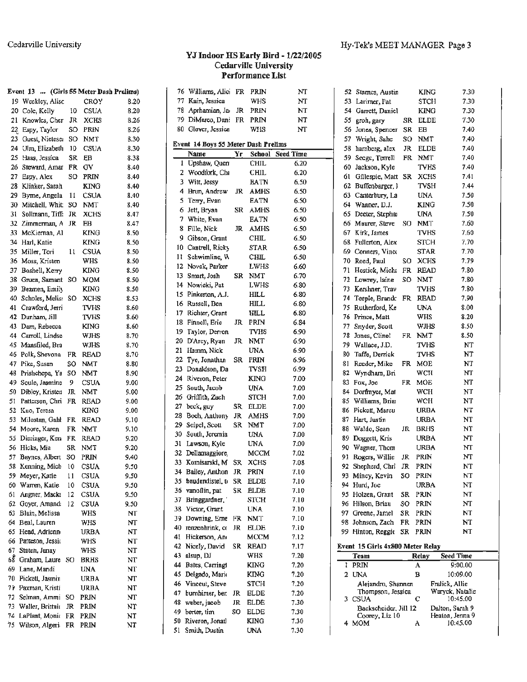#### YJ Indoor HS Early Bird - 1/22/2005 **Cedarville University** Performance List

|           | Event 13  (Girls 55 Meter Dash Prelims) |          |                            |              |        | 76 Williams, Alici FR               |     | PRIN                | NT           |
|-----------|-----------------------------------------|----------|----------------------------|--------------|--------|-------------------------------------|-----|---------------------|--------------|
|           | 19 Weekley, Alisc                       |          | CROY                       | 8.20         |        | 77 Kain, Jessica                    |     | WHS                 | NT           |
|           | 20 Cole, Kelly                          | 10       | CSUA                       | 8.20         | 78     | Aprhamian, Ja                       | JR  | PRIN                | NT           |
|           | 21 Knowles, Cher                        | JR       | <b>XCHS</b>                | 8.26         |        | 79 DiMarco, Dani FR                 |     | <b>PRIN</b>         | NT           |
|           | 22. Espy, Taylor                        | SO       | <b>PRIN</b>                | 8.26         |        | 80 Glover, Jessica                  |     | WHS                 | NT           |
|           | 23 Guest, Nieteser                      | SO       | <b>NMT</b>                 | 8.30         |        |                                     |     |                     |              |
|           | 24 Ulm, Elizabeth                       | 10       | <b>CSUA</b>                | 8.30         |        | Event 14 Boys 55 Meter Dash Prelims |     |                     |              |
|           | 25 Haas, Jessica                        | SR       | EВ                         | 8.38         |        | Name                                | Yг  | School              | Seed Time    |
|           | 26 Steward, Amar                        | FR       | GV                         | 8.40         |        | 1 Upshaw, Quem                      |     | <b>CHIL</b>         | 6.20         |
|           | 27 Espy, Alex                           | so       | PRIN                       | 8.40         | 3      | 2 Woodfork, Chi<br>Witt, Jessy      |     | <b>CHIL</b>         | 6.20<br>6.50 |
|           | 28 Klinker, Sarah                       |          | <b>KING</b>                | 8.40         |        |                                     |     | <b>BATN</b>         |              |
|           | 29 Byrne, Angela                        | 11       | <b>CSUA</b>                | 8.40         | 4<br>5 | Brun, Andrew                        | JR  | <b>AMHS</b>         | 6.50         |
|           | 30 Mitchell, Whit                       | SO       | NMT                        | 8.40         | 6      | Terry, Evan                         |     | EATN<br><b>AMHS</b> | 6.50<br>6.50 |
| 31.       | Sollmann, Tiff:                         | JR       | <b>XCHS</b>                | 8.47         | 7      | Jett, Bryan<br>White, Evan          | SR  | EATN                | 6.50         |
|           | 32 Zimmerman, A                         | JR.      | EВ                         | 8.47         | 8      | Fille, Nick                         | JR  | AMHS                | 6.50         |
|           | 33 McKiernan, Al                        |          | KING                       | 8.50         | 9      | Gibson, Grant                       |     | <b>CHIL</b>         | 6.50         |
| 34        | Harl, Katie                             |          | <b>KING</b>                | 8.50         |        | 10 Cantrell, Ricky                  |     | STAR                | 6.50         |
| 35        | Miller, Tori                            | 11       | CSUA                       | 8.50         | п      | Schwimline, W                       |     | CHIL                | 6.50         |
|           | 36 Moss, Kristen                        |          | WHS                        | 8.50         | 12     | Novak, Parker                       |     | LWHS                | 6.60         |
| 37.       | Boshell, Kerry                          |          | <b>KING</b>                | 8.50         | 13     | Smart, Josh                         | SR  | NMT                 | 6.70         |
|           | 38 Gruen, Samant SO                     |          | <b>MOM</b>                 | 8.50         | 14     | Nowicki, Pat                        |     | LWHS                | 6.80         |
|           | 39 Bezmen, Emily                        |          | <b>KING</b>                | 8.50         | 15     | Pinkerton, A.J.                     |     | HILL                | 6.80         |
|           | 40 Scholes, Melis: SO                   |          | <b>XCHS</b>                | 8.53         |        | 16 Russell, Ben                     |     | <b>HILL</b>         | 6.80         |
|           | 41 Crawford, Jerri                      |          | TVHS                       | 8.60         | 17     | Richter, Grant                      |     | HILL                | 6.80         |
|           | 42 Dunham, Jill                         |          | TVHS                       | 8.60         | 18     | Finnell, Eric                       | JR  | PRIN                | 6.84         |
|           | 43 Dam, Rebecca                         |          | KING                       | 8.60         | 19     | Taylor, Derron                      |     | TVHS                | 6.90         |
| 44        | Carroll, Lindse                         |          | WJHS                       | 8.70         | 20     | D'Arcy, Ryan                        | JR. | NMT                 | 6.90         |
|           | 45 Mansfiled, Bra                       |          | WJHS                       | 8.70         | 21.    | Hamm, Nick                          |     | UNA                 | 6.90         |
|           | 46 Polk, Shevona                        | FR       | READ                       | 8.70         | 22     | Tye, Jonathan                       | SR  | PRIN                | 6.96         |
|           | 47 Pike, Susan                          | SO       | <b>NMT</b>                 | 8.80         |        | 23 Donaldson, Da                    |     | TVSH                | 6.99         |
| 48        | Prishchepa, Ya SO                       |          | NMT                        | 8.90         |        | 24 Riveron, Peter                   |     | KING                | 7.00         |
| 49        | Soule, Jasmine                          | 9        | CSUA                       | 9.00         | 25.    | South, Jacob                        |     | UNA.                | 7.00         |
| 50        | Dibley, Kristen                         | JR       | NMT                        | 9.00         |        | 26 Griffith, Zach                   |     | STCH                | 7.00         |
|           | 51 Patterson, Chri FR                   |          | <b>READ</b>                | 9.00         | 27     | beck, guy                           | SR. | <b>ELDE</b>         | 7.00         |
|           | 52 Kuo, Teresa                          |          | KING                       | 9.00         | 28     | Boch, Anthony                       | JR  | AMHS                | 7.00         |
| 53        | Milostan, Gahl FR                       |          | READ                       | 9.10         | 29.    | Seipel, Scott                       | SR  | NMT                 | 7.00         |
| 54        | Moore, Karen                            | FR       | NMT                        | 9.10         | 30     | South, Jeremia                      |     | UNA                 | 7.00         |
| 55        | Dieringer, Kern FR                      |          | READ                       | 9.20         | 31     | Lawson, Kyle                        |     | <b>UNA</b>          | 7.00         |
|           | 56 Hicks, Mia                           | SR       | <b>NMT</b>                 | 9.20         |        | 32 Dellamaggiore,                   |     | MCCM                | 7.02         |
| 57.       | Baynes, Albert                          | SO       | PRIN<br><b>CSUA</b>        | 9.40         |        | 33 Komisarski, M                    | SR  | <b>XCHS</b>         | 7.08         |
|           | 58 Kenning, Mich                        | 10       |                            | 9.50         |        | 34 Bailey, Anthon                   | JR  | PRIN                | 7.10         |
|           | 59 Meyer, Katie<br>60 Warren, Katie     | 11       | <b>CSUA</b>                | 9.50         |        | 35 baudendistel, t SR               |     | <b>ELDE</b>         | 7.10         |
|           | Angner, Macke                           | 10<br>12 | <b>CSUA</b><br><b>CSUA</b> | 9.50<br>9.50 |        | 36 vanoflin, pat                    | SR  | <b>ELDE</b>         | 7.10         |
| 61.<br>62 | Goyer, Amand.                           | 12       | <b>CSUA</b>                | 9.50         | 37.    | Bringgardner,                       |     | <b>STCH</b>         | 7.10         |
| 63.       | Blain, Melissa                          |          | <b>WHS</b>                 | NT           |        | 38 Victor, Grant                    |     | <b>UNA</b>          | 7.10         |
| 64.       | Beal, Lauren                            |          | <b>WHS</b>                 | NT           |        | 39 Downing, Erne                    | FR  | <b>NMT</b>          | 7.10         |
|           | 65 Head, Adrienn                        |          | <b>URBA</b>                | NT           |        | 40 renzenhrink, co                  | JR  | <b>ELDE</b>         | 7.10         |
|           | 66 Patteson, Jessio                     |          | WHS                        | NT           | 41.    | Hickerson, An                       |     | мссм                | 7.12         |
| 67        | Staten, Janay                           |          | WHS                        | NT           |        | 42 Nicely, David                    | SR  | <b>READ</b>         | 7.17         |
| 68        | Graham, Laure SO                        |          | <b>BRHS</b>                | NT           | 43.    | alsup, DJ                           |     | WHS                 | 7.20         |
| 69        | Lane, Mandi                             |          | <b>UNA</b>                 | NT           | 44     | Bates, Carringt                     |     | <b>KING</b>         | 7.20         |
| 70.       | Pickett, Jasmin                         |          | URBA                       | NT           |        | 45 Delgado, Maris                   |     | KING                | 7.20         |
|           | 71 Paxman, Kristi                       |          | URBA                       | ΝT           |        | 46 Vinceut, Steve                   |     | STCH                | 7.20         |
| 72        | Selman, Ammi SO                         |          | <b>PRIN</b>                | NT           | 47     | bumhimer, ber.                      | JR  | ELDE                | 7.20         |
| 73.       | Waller, Brittait                        | JR       | PRIN                       | NT           | 48     | weber, jacob                        | JR  | <b>ELDE</b>         | 7.30         |
|           | 74 LaPlant, Monic FR                    |          | <b>PRIN</b>                | NT           | 49     | berter, tim                         | SO  | <b>ELDE</b>         | 7.30         |
|           | 75 Wilson, Algeri: FR PRIN              |          |                            | NT           | 50     | Riveron, Jonatl                     |     | <b>KING</b>         | 7.30         |
|           |                                         |          |                            |              | 51     | Smith, Dustin                       |     | UNA                 | 7.30         |

| 52 | Starnes, Austin                  |           | <b>KING</b> | 7.30                        |
|----|----------------------------------|-----------|-------------|-----------------------------|
| 53 | Larimer, Pat                     |           | <b>STCH</b> | 7.30                        |
| 54 | Garrett, Daniel                  |           | KING        | 7.30                        |
| 55 | groh, gary                       | SR        | ELDE        | 7.30                        |
| 56 | Jones, Spencer                   | SR        | EВ          | 7.40                        |
| 57 | Wright, Sahe                     | SO.       | NMT         | 7.40                        |
| 58 | hamberg, alex                    | JR        | <b>ELDE</b> | 7.40                        |
| 59 | Seege, Terrell                   | FR        | NMT         | 7.40                        |
| 60 | Jackson, Kyle                    |           | <b>TVHS</b> | 7.40                        |
| 61 | Gillespie, Matt                  | SR        | XCHS        | 7.41                        |
| 62 | Buffenbarger, )                  |           | TVSH        | 7.44                        |
| 63 | Canterbury, La                   |           | UNA         | 7.50                        |
| 64 | Wanner, D.J.                     |           | <b>KING</b> | 7.50                        |
| 65 | Deeter, Stephar                  |           | UNA         | 7.50                        |
| 66 | Maurer, Steve                    | SO        | <b>NMT</b>  | 7.60                        |
| 67 |                                  |           |             | 7.60                        |
|    | Kirk, James                      |           | TVHS        |                             |
| 68 | Fullerton, Alex                  |           | STCH        | 7.70                        |
| 69 | Conners, Vince                   |           | <b>STAR</b> | 7.70                        |
| 70 | Reed, Paul                       | SO        | <b>XCHS</b> | 7.79                        |
| 71 | Hostick, Micha                   | FR        | READ        | 7.80                        |
| 72 | Lowrey, laine                    | SO        | NMT         | 7.80                        |
| 73 | Kershner, Trav                   |           | TVHS        | 7.80                        |
| 74 | Teeple, Brandc                   | FR.       | READ        | 7.90                        |
| 75 | Rutherford, Ke                   |           | <b>UNA</b>  | 8.00                        |
| 76 | Prince, Matt                     |           | WHS         | 8.20                        |
| 77 | Snyder, Scott                    |           | WJHS        | 8.50                        |
| 78 | Jones, Clinel                    | <b>FR</b> | <b>NMT</b>  | 8.50                        |
| 79 | Wallace, J.D.                    |           | <b>TVHS</b> | NT                          |
| 80 | Taffe, Derrick                   |           | <b>TVHS</b> | NT                          |
| 81 | Reeder, Mike                     | FR        | MOE         | NT                          |
| 82 | Wyndham, Bri                     |           | WCH         | NT                          |
| 83 | Fox, Joe                         | FR        | MOE         | NT                          |
| 84 | Dorfmyer, Mat                    |           | <b>WCH</b>  | NT                          |
| 85 | Williams, Brian                  |           | WCH         | NT                          |
| 86 | Pickett, Marcu                   |           | URBA        | NT                          |
| 87 | Hart, Justin                     |           | URBA        | NT                          |
| 88 | Waldo, Sean                      | JR        | <b>BRHS</b> | NT                          |
| 89 | Doggett, Kris                    |           | URBA        | NT                          |
| 90 | Wagner, Thom                     |           | URBA        | NT                          |
| 91 | Rogers, Willie                   | JR        | PRIN        | NT                          |
| 92 | Shepherd, Chri                   | JR        | PRIN        | NT                          |
|    | 93 Mincy, Kevin                  | SO        | PRIN        | NT                          |
| 94 | Hurd, Joe                        |           | URBA        | NT                          |
| 95 | Holzen, Grant                    | SR        | PRIN        | NT                          |
| 96 | Hilson, Briau                    | SO        | PRIN        | NT                          |
| 97 | Greene, Jamel                    | SR        | PRIN        | NT                          |
| 98 | Johnson, Zach                    | FR        | PRIN        | NT                          |
| 99 | Hinton, Reggie                   | SR        | PRIN        | NΤ                          |
|    |                                  |           |             |                             |
|    | Event 15 Girls 4x800 Meter Relay |           |             |                             |
|    | Team                             |           | Rclay       | Seed Time                   |
| ı  | PRIN                             |           | A           | 9:00.00                     |
| 2  | UNA                              |           | в           | 10:09.00                    |
|    | Alejandro, Shannen               |           |             | Fralick, Allie              |
| 3  | Thompson, Jessica<br>CSUA        |           | С           | Waryck, Natalie<br>10:45.00 |
|    | Backscheider, Jill 12            |           |             | Dalton, Sarah 9             |
|    | Comev. Liz 10.                   |           |             | Heaton, Jenna 9             |

10:45.00

A

4 MOM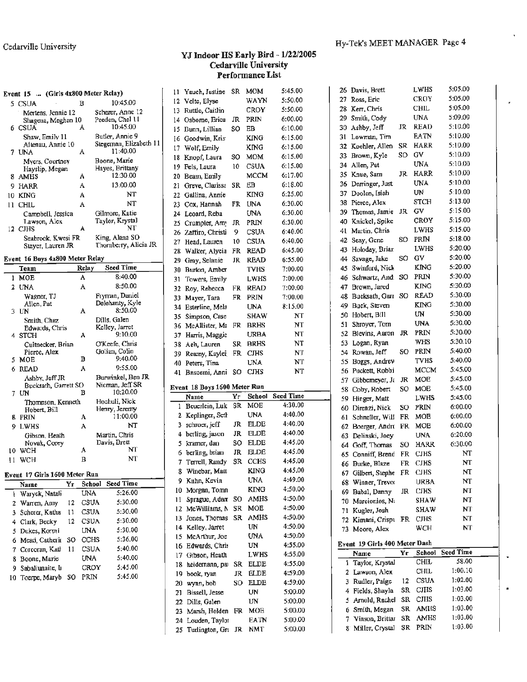#### **YJ Indoor HS Early Bird** - **1/22/2005 Cedarville University Performance List**

| Event 15  (Girls 4x800 Meter Rclay)                                 | 11 Yauch, Justine SR MOM     |     |             | 5:45.00                 |     | 26 Davis, Brett               |       | LWHS        | 5:05.00            |  |
|---------------------------------------------------------------------|------------------------------|-----|-------------|-------------------------|-----|-------------------------------|-------|-------------|--------------------|--|
| 10:45.00<br>в                                                       | 12 Velte, Elyse              |     | WAYN        | 5:50.00                 |     | 27 Ross, Eric                 |       | CROY        | 5:05.00            |  |
| 5 CSUA<br>Scherer, Anne 12<br>Mertens, Jennie 12                    | 13 Ruttle, Caitlin           |     | CROY        | 5:50.00                 |     | 28 Kerr, Chris                |       | <b>CHIL</b> | 5:05.00            |  |
| Peeden, Chel 11<br>Shagena, Meghan 10                               | Osborne, Erica<br>14         | JR  | PRIN        | 6:00.00                 | 29  | Smith, Cody                   |       | <b>UNA</b>  | 5:09.00            |  |
| 10:45.00<br>6 CSUA<br>A                                             | Bunn, Lillian<br>15          | SO. | EB          | 6:10.00                 |     | 30 Ashby, Jeff                |       | JR READ     | 5:10.00            |  |
| Butler, Annie 9<br>Shaw, Emily 11                                   | Goodwin, Kris<br>16          |     | <b>KING</b> | 6:15.00                 |     | 31 Lowman, Tim                |       | <b>EATN</b> | 5:10.00            |  |
| Stegeman, Elizabeth 11<br>Altenau, Annie 10                         | Wolf, Emily<br>17.           |     | KING        | 6:15.00                 |     | 32 Koehler, Allen             |       | SR HARR     | 5:10.00            |  |
| 11:40.00<br>A<br>7 UNA                                              | Knopf, Laura<br>18           | SO. | <b>MOM</b>  | 6:15.00                 |     | 33 Brown, Kyle                | SO GV |             | 5:10.00            |  |
| Boone, Marie<br>Myers, Courtney<br>Hayes, Brittany                  | Fels, Laura<br>19            |     | 10 CSUA     | 6:15.00                 |     | 34 Allen, Pat                 |       | <b>UNA</b>  | 5:10.00            |  |
| Hayslip, Megan<br>12:30.00<br>A<br>8 AMHS                           | Beam, Emily<br>20            |     | <b>MCCM</b> | 6:17.00                 |     | 35 Knue, Sam                  |       | JR HARR     | 5:10.00            |  |
| 13:00.00<br>А<br>HARR<br>9.                                         | Greve, Clarissa SR<br>21     |     | EB          | 6:18.00                 |     | 36 Derringer, Just            |       | <b>UNA</b>  | 5:10.00            |  |
| NT<br>A<br>10 KING                                                  | Gallina, Annie<br>22         |     | <b>KING</b> | 6:25.00                 |     | 37 Doolen, Isiah              |       | UN          | 5:10.00            |  |
| <b>NT</b><br>11 CHIL<br>A                                           | Cox, Hannah<br>23            |     | FR UNA      | 6:30.00                 |     | 38 Pierce, Alex               |       | <b>STCH</b> | 5:13.00            |  |
| Gilmore, Katie<br>Campbell, Jessica                                 | Leoard, Reba<br>24           |     | UNA         | 6:30.00                 | 39  | Thomas, Jamie JR              |       | GV          | 5:15.00            |  |
| Taylor, Krystal<br>Lawson, Alex                                     | Crumpler, Amy<br>25          | JR  | PRIN        | 6:30.00                 | 40. | Knickel, Spike                |       | <b>CROY</b> | 5:15.00            |  |
| NT<br>А<br>12 CJHS                                                  | Zaffiro, Christi<br>26       | 9   | <b>CSUA</b> | 6:40.00                 | 41  | Martin, Chris                 |       | LWHS        | 5:15.00            |  |
| King, Alena SO<br>Seabrook, Kwesi FR                                | Head, Lauren<br>27           | 10  | CSUA        | 6:40.00                 |     | 42 Seay, Gene                 |       | SO PRIN     | 5:18.00            |  |
| Thornberry, Alicia JR<br>Slayer, Lauren JR                          | Walker, Alycia<br>28.        |     | FR READ     | 6:45.00                 |     | 43 Holoday, Brian             |       | LWHS        | 5:20.00            |  |
| Event 16 Boys 4x800 Meter Relay                                     | Gray, Selanie<br>29          |     | JR READ     | 6:55.00                 | 44  | Savage, Jake                  | SO GV |             | 5:20.00            |  |
| <b>Seed Time</b><br>Relay<br>Team                                   | Burton, Amber<br>30          |     | <b>TVHS</b> | 7:00.00                 | 45  | Swinford, Nick                |       | <b>KING</b> | 5:20.00            |  |
| 8:40.00<br>A<br><b>MOE</b><br>1                                     | 31<br>Towers, Emily          |     | <b>LWHS</b> | 7:00.00                 |     | 46 Schwartz, And SO PRIN      |       |             | 5:30.00            |  |
| 8:50.00<br>A<br>2 UNA                                               | Roy, Rebecca<br>32           |     | FR READ     | 7:00.00                 |     | 47 Brown, Jared               |       | <b>KING</b> | 5:30.00            |  |
| Fryman, Daniel<br>Wagner, TJ                                        | Mayer, Tara<br>33            |     | FR PRIN     | 7:00.00                 |     | 48 Bucksath, Garr SO READ     |       |             | 5:30.00            |  |
| Delehanty, Kyle<br>Allen, Pat                                       | Esterline, Mela<br>34        |     | UNA         | 8:15.00                 |     | 49 Buck, Steven               |       | <b>KING</b> | 5:30.00            |  |
| 8:50.00<br>A<br>3 UN                                                | Simpson, Case<br>35          |     | <b>SHAW</b> | NT                      |     | 50 Hobert, Bill               |       | UN          | 5:30.00            |  |
| Dills, Galen<br>Smith, Chaz                                         | McAllister, Ma FR<br>36      |     | <b>BRHS</b> | $_{\rm NT}$             |     | 51 Shroyer, Tom               |       | <b>UNA</b>  | 5:30.00            |  |
| Kelley, Jarret<br>Edwards, Chris<br>9:10.00<br>А                    | Harris, Maggie<br>37         |     | <b>URBA</b> | NT                      |     | 52 Blevins, Aaron             |       | JR PRIN     | 5:30.00            |  |
| 4 STCH<br>O'Keefe, Chris<br>Cultnecker, Brian                       | Aeh, Lauren<br>38            |     | SR BRHS     | NT                      |     | 53 Logan, Ryan                |       | <b>WHS</b>  | 5:30.10            |  |
| Golian, Colin<br>Pierce, Alex                                       | Reamy, Kaylei FR CJHS<br>39  |     |             | $\bf NT$                |     | 54 Rowan, Jeff                |       | SO PRIN     | 5:40.00            |  |
| 9:40.00<br>в<br>5 MOE                                               | Peters, Tina<br>40           |     | <b>UNA</b>  | NT                      | 55. | Boggs, Andrey                 |       | <b>TVHS</b> | 5:40.00            |  |
| 9:55.00<br>A<br>6 READ                                              | Bnscemi, Anni SO CJHS<br>41  |     |             | NT                      |     | 56 Puckett, Robbi             |       | MCCM        | 5:45.00            |  |
| Burwinkel, Ben JR<br>Ashby, Jeff JR                                 |                              |     |             |                         |     | 57 Gibberneyer, J. JR         |       | MOE         | 5:45.00            |  |
| Nieman, Jeff SR<br>Bucksath, Garrett SO                             | Event 18 Boys 1600 Meter Run |     |             |                         |     | 58 Coby, Robert               |       | SO MOE      | 5:45.00            |  |
| 10:20.00<br>в<br>7 UN                                               | Name                         | Yr  |             | <b>School Seed Time</b> |     | 59 Hinger, Matt               |       | LWHS        | 5:45.00            |  |
| Hochuli, Nick<br>Thompson, Kenneth<br>Henry, Jeremy<br>Hobert, Bill | 1 Beuerlein, Luk SR MOE      |     |             | 4:30.00                 |     | 60 Direnzi, Nick              |       | SO PRIN     | 6:00.00            |  |
| 11:00.00<br><b>B</b> PRIN<br>A                                      | 2 Keplinger, Seth            |     | <b>UNA</b>  | 4:40.00                 |     | 61 Schneller, Will FR MOE     |       |             | 6:00.00            |  |
| NT<br>9 LWHS<br>А                                                   | 3 schroer, jeff              | JR  | ELDE        | 4:40.00                 |     | 62 Boerger, Andrt FR MOE      |       |             | 6:00.00            |  |
| Martin, Chris<br>Gibson, Heath                                      | 4 berling, jason             | JR  | <b>ELDE</b> | 4:40.00                 | 63  | Delinski, Joey                |       | <b>UNA</b>  | 6:20.00            |  |
| Davis, Brett<br>Novak, Corey                                        | 5 kramer, dan                |     | SO ELDE     | 4:45.00                 | 64. | Goff, Thomas                  |       | SO HARR     | 6:30.00            |  |
| NT<br>10 WCH<br>А                                                   | 6 berling, brian             |     | JR ELDE     | 4:45.00                 | 65  | Conniff, Brend                | FR.   | <b>CJHS</b> | NT                 |  |
| <b>NT</b><br>в<br>11 WCH                                            | 7 Terrell, Randy             |     | SR CCHS     | 4:45.00                 |     | 66 Burke, Blaze               |       | FR CJHS     | NT                 |  |
| Event 17 Girls 1600 Meter Run                                       | 8 Winebar, Matt              |     | <b>KING</b> | 4:45.00                 |     | 67 Gilbert, Stephe FR CJHS    |       |             | $\bf NT$           |  |
| School Seed Time<br>Yr                                              | 9 Kuhn, Kevin                |     | <b>UNA</b>  | 4:49.00                 |     | 68 Winner, Trevor             |       | <b>URBA</b> | NT                 |  |
| Name<br>5:26.00<br><b>UNA</b><br>1 Waryck, Natali                   | 10 Morgan, Tomn              |     | <b>KING</b> | 4:50.00                 |     | 69 Babal, Danny               | JR    | <b>CIHS</b> | NT                 |  |
| 5:30.00<br>12 CSUA<br>2 Warren, Amy                                 | Sprague, Adan SO<br>н        |     | AMHS        | 4:50.00                 |     | 70 Marcionios, Na             |       | <b>SHAW</b> | NT                 |  |
| 3 Scherer, Katha 11 CSUA<br>5:30.00                                 | 12 McWilliams, N SR          |     | <b>MOE</b>  | 4:50.00                 |     | 71 Kugler, Josh               |       | <b>SHAW</b> | NT                 |  |
| 5:30.00<br>12 CSUA<br>4 Clark, Becky                                | Jones, Thomas SR AMHS<br>13  |     |             | 4:50.00                 |     | 72 Kimani, Crispi FR CJHS     |       |             | NT                 |  |
| 5:30.00<br><b>UNA</b><br>5 Dukes, Kormi                             | Kelley, Jarret<br>14         |     | UN          | 4:50.00                 |     | 73 Moore, Alex                |       | WCH         | NT                 |  |
| 5:36.00<br>CCHS                                                     | 15 McArthur, Joe             |     | UNA         | 4:50.00                 |     |                               |       |             |                    |  |
| 6 Mead, Catherir SO<br>5:40.00<br><b>CSUA</b>                       | 16 Edwards, Chris            |     | UN          | 4:55.00                 |     | Event 19 Girls 400 Meter Dash |       |             |                    |  |
| 7 Corcoran, Katl 11<br>5:40.00<br><b>UNA</b>                        | 17 Gibson, Heath             |     | <b>LWHS</b> | 4:55.00                 |     | Name                          | Yr    |             | School Seed Time   |  |
| 8 Boone, Marie<br>5:45.00<br>CROY                                   | 18 heidemann, par            |     | SR ELDE     | 4:55.00                 |     | 1 Taylor, Krystal             |       | CHIL        | 58.00              |  |
| 9 Sabaliunaite, L<br>5:45.00<br>PRIN                                | 19 book, ryan                | JR  | <b>ELDE</b> | 4:59.00                 |     | 2 Lawson, Alex                |       | <b>CHIL</b> | 1:00.10            |  |
| 10 Toerpe, Maryb SO                                                 | wynn, bob<br>20              |     | SO ELDE     | 4:59.00                 |     | 3 Rudler, Paige               | 12    | CSUA        | 1:02.00            |  |
|                                                                     | 21 Bissell, Jesse            |     | UN          | 5:00.00                 |     | 4 Fields, Shayla              |       | SR CJHS     | 1:03.00<br>1.02.00 |  |
|                                                                     |                              |     |             |                         |     |                               |       | O TI TO     |                    |  |

|    | 12 Velte, Elyse                            |     | WAYN               | 5:50.00            | 27  | Ross, Eric                    |     | CROY        | 5:05.00          |
|----|--------------------------------------------|-----|--------------------|--------------------|-----|-------------------------------|-----|-------------|------------------|
| 13 | Ruttle, Caitlin                            |     | CROY               | 5:50.00            | 28  | Kerr, Chris                   |     | CHIL        | 5:05.00          |
| 14 | Osborne, Erica                             | JR  | PRIN               | 6:00.00            | 29  | Smith, Cody                   |     | UNA         | 5:09.00          |
| 15 | Bunn, Lillian                              | SO  | EB                 | 6:10.00            | 30  | Ashby, Jeff                   | JR  | <b>READ</b> | 5:10.00          |
| 16 | Goodwin, Kris                              |     | <b>KING</b>        | 6:15.00            | 31  | Lowman, Tim                   |     | EATN        | 5:10.00          |
| 17 | Wolf, Emily                                |     | KING               | 6:15.00            | 32. | Koehler, Allen                | SR  | HARR        | 5:10.00          |
| 18 | Knopf, Laura                               | SO  | <b>MOM</b>         | 6:15.00            | 33  | Brown, Kyle                   | SO  | G٧          | 5:10.00          |
| 19 | Fels, Laura                                | 10  | CSUA               | 6:15.00            | 34  | Allen, Pat                    |     | UNA         | 5:10.00          |
| 20 | Beam, Emily                                |     | MCCM               | 6:17.00            | 35  | Knue, Sam                     | JR  | <b>HARR</b> | 5:10.00          |
| 21 | Greve, Clarissa                            | SR  | ЕB                 | 6:18.00            | 36  | Derringer, Just               |     | UNA         | 5:10.00          |
| 22 | Gallina, Annie                             |     | KING               | 6:25.00            | 37  | Doolen, Isiah                 |     | UN          | 5:10.00          |
| 23 | Cox, Hannah                                | FR  | <b>UNA</b>         | 6:30.00            | 38  | Pierce, Alex                  |     | STCH        | 5:13.00          |
| 24 | Leoard, Reba                               |     | <b>UNA</b>         | 6:30.00            | 39  | Thomas, Jamie                 | JR. | GV          | 5:15.00          |
| 25 | Crumpler, Arny                             | JR  | PRIN               | 6:30.00            | 40  | Knickel, Spike                |     | CROY        | 5:15.00          |
|    | 26 Zaffiro, Christi                        | 9   | <b>CSUA</b>        | 6:40.00            | 41  | Martin, Chris                 |     | LWHS        | 5:15.00          |
| 27 | Head, Lauren                               | 10  | <b>CSUA</b>        | 6:40.00            | 42  | Seay, Gene                    | SO  | PRIN        | 5:18.00          |
| 28 | Walker, Alycia                             | FR  | READ               | 6:45.00            | 43  | Holoday, Brian                |     | LWHS        | 5:20.00          |
| 29 | Gray, Selanie                              | JR. | READ               | 6:55.00            | 44  | Savage, Jake                  | SO  | GV          | 5:20.00          |
| 30 | Burton, Amber                              |     | TVHS               | 7:00.00            | 45  | Swinford, Nick                |     | KING        | 5:20.00          |
| 31 | Towers, Emily                              |     | LWHS               | 7:00.00            |     | 46 Schwartz, And              | so  | PRIN        | 5:30.00          |
| 32 | Roy, Rebecca                               | FR. | READ               | 7:00.00            | 47  | Brown, Jared                  |     | KING        | 5:30.00          |
| 33 | Mayer, Tara                                | FR  | <b>PRIN</b>        | 7:00.00            | 48  | Bucksath, Garr                | so  | READ        | 5:30.00          |
| 34 | Esterline, Mela                            |     | UNA                | 8:15.00            | 49  | Buck, Steven                  |     | <b>KING</b> | 5:30.00          |
| 35 | Simpson, Case                              |     | SHAW               | NT                 | 50  | Hobert, Bill                  |     | UN          | 5:30.00          |
|    | 36 McAllister, Ma                          | FR. | <b>BRHS</b>        | NT                 | 51  | Shroyer, Tom                  |     | UNA         | 5:30.00          |
| 37 | Harris, Maggie                             |     | URBA               | NT                 | 52  | Blevins, Aaron                | JR  | PRIN        | 5:30.00          |
| 38 | Aeh, Lauren                                | SR. | <b>BRHS</b>        | NT                 | 53  | Logan, Ryan                   |     | WHS         | 5:30.10          |
| 39 | Reamy, Kaylei                              | FR  | <b>CJHS</b>        | NT                 | 54  | Rowan, Jeff                   | SO  | PRIN        | 5:40.00          |
| 40 | Peters, Tina                               |     | <b>UNA</b>         | NT                 | 55  | Boggs, Andrey                 |     | TVHS        | 5:40.00          |
|    | 41 Briscemi, Anni SO                       |     | <b>CJHS</b>        | NT                 |     | 56 Puckett, Robbi             |     | <b>MCCM</b> | 5:45.00          |
|    |                                            |     |                    |                    | 57  | Gibbemeyer, Ja                | JR  | MOE         | 5:45.00          |
|    | Event 18 Boys 1600 Meter Run               |     |                    |                    | 58  | Coby, Robert                  | SO  | MOE         | 5:45.00          |
|    | Name                                       | Yr  | School             | <b>Seed Time</b>   | 59  | Hinger, Matt                  |     | LWHS        | 5:45.00          |
|    | 1 Beuerlein, Luk                           | SR  | MOE                | 4:30.00            | 60  | Direnzi, Nick                 | SO  | PRIN        | 6:00.00          |
|    | 2 Keplinger, Seth                          |     | UNA                | 4:40.00            | 61  | Schneller, Will               | FR  | MOE         | 6:00.00          |
| 3  | schroer, jeff                              | JR  | <b>ELDE</b>        | 4:40.00            | 62  | Boerger, Andrt                | FR. | MOE         | 6:00.00          |
|    | 4 berling, jason                           | JR  | ELDE               | 4:40.00            | 63  | Delinski, Joey                |     | UNA         | 6:20.00          |
| 5. | kramer, dan                                | SO  | ELDE               | 4:45.00            | 64  | Goff, Thomas                  | SO  | HARR        | 6:30.00          |
| 6  | berling, brian                             | JR  | ELDE               | 4:45.00            | 65  | Conniff, Brend                | FR  | <b>CJHS</b> | NT               |
| 7  | Terrell, Randy                             | SR  | <b>CCHS</b>        | 4:45.00            |     | 66 Burke, Blaze               | FR  | CJHS        | NT               |
| 8  | Winebar, Matt                              |     | KING               | 4:45.00            |     | 67 Gilbert, Stephe            | FR  | <b>CJHS</b> | NT               |
|    | 9 Kuhn, Kevin                              |     | UNA                | 4:49.00            |     | 68 Winner, Trevor             |     | <b>URBA</b> | NT               |
|    | 10 Morgan, Tomn                            |     | <b>KING</b>        | 4:50.00            |     | 69 Babal, Danny               | JR  | <b>CIHS</b> | NT               |
| 11 | Sprague, Adar SO                           |     | AMHS               | 4:50.00            | 70  | Marcionios, Na                |     | SHAW        | NT               |
| 12 | McWilliams, N                              | SR  | MOE                | 4:50.00            | 71  | Kugler, Josh                  |     | SHAW        | NT               |
| 13 | Jones, Thomas                              | SR  | <b>AMHS</b>        | 4:50.00            | 72. | Kimani, Crispi                | FR. | CJHS        | NT               |
|    | 14 Kelley, Jarret                          |     | UN                 | 4:50.00            |     | 73 Moore, Alex                |     | WCH         | NΤ               |
|    | 15 McArthur, Joe                           |     | UNA                | 4:50.00            |     | Event 19 Girls 400 Meter Dash |     |             |                  |
|    | 16 Edwards, Chris                          |     | UN                 | 4:55.00            |     | Name                          | Yr  | School      | <b>Seed Time</b> |
| 17 | Gibson, Heath                              |     | LWHS               | 4:55.00            |     | 1 Taylor, Krystal             |     | CHIL        | 58.00            |
| 18 | heidemann, par                             | SR  | <b>ELDE</b>        | 4:55.00            |     | 2 Lawson, Alex                |     | <b>CHIL</b> | 1:00.10          |
|    | 19 book, ryan                              | JR  | <b>ELDE</b>        | 4:59.00            | 3   | Rudler, Paige                 | 12  | CSUA        | 1:02.00          |
| 20 | wynn, bob                                  | so  | <b>FLDE</b>        | 4:59.00            | 4   | Fields, Shayla                | SR  | <b>CJHS</b> | 1:03.00          |
| 21 | Bissell, Jesse                             |     | UN                 | 5:00.00            | 5   | Arnold, Rachel                | SR  | <b>CJHS</b> | 1:03.00          |
| 22 | Dills, Galen                               |     | UN                 | 5:00.00            | 6   | Smith, Megan                  | SR  | <b>AMHS</b> | 1:03.00          |
| 23 | Marsh, Holden                              | FR  | MOE                | 5:00.00            |     | Vinson, Brittar               | SR  | AMHS        | 1:03.00          |
|    |                                            |     |                    |                    |     |                               |     |             |                  |
|    | 24 Louden, Taylor<br>25 Turlington, Gr. JR |     | EATN<br><b>NMT</b> | 5:00.00<br>5:00.00 | 7   | 8 Miller, Crystal             | SR  | PRIN        | 1:03.00          |

| 1 Yauch, Justine SR MOM     |     |             | 5:45.00          |     | 26 Davis, Brett               |     | LWHS        | 5:05.00          |   |
|-----------------------------|-----|-------------|------------------|-----|-------------------------------|-----|-------------|------------------|---|
| 2 Velte, Elyse              |     | WAYN        | 5:50.00          | 27  | Ross, Eric                    |     | CROY        | 5:05.00          | ٠ |
| 3 Ruttle, Caitlin           |     | CROY        | 5:50.00          | 28  | Kerr, Chris                   |     | CHIL        | 5:05.00          |   |
| 4 Osborne, Erica            | JR  | PRIN        | 6:00.00          | 29. | Smith, Cody                   |     | UNA         | 5:09.00          |   |
| 5 Bunn, Lillian             | SO. | EB          | 6:10.00          | 30. | Ashby, Jeff                   | JR  | READ        | 5:10.00          |   |
| 6 Goodwin, Kris             |     | <b>KING</b> | 6:15.00          | 31  | Lowman, Tim                   |     | <b>EATN</b> | 5:10.00          |   |
|                             |     | KING        | 6:15.00          |     | 32 Koehler, Allen             | SR  | HARR        | 5:10.00          |   |
| 7 Wolf, Emily               |     | <b>MOM</b>  | 6:15.00          |     | 33 Brown, Kyle                | SO  | G٧          | 5:10.00          |   |
| 8 Knopf, Laura              | SO  |             |                  |     | 34 Allen, Pat                 |     | UNA         | 5:10.00          |   |
| 9 Fels, Laura               | 10  | CSUA        | 6:15.00          |     | 35 Knue, Sam                  | JR. | HARR        | 5:10.00          |   |
| 0 Beam, Emily               |     | <b>MCCM</b> | 6:17.00          |     | Derringer, Just               |     | <b>UNA</b>  | 5:10.00          |   |
| l Greve, Clarissa           | SR  | EB          | 6:18.00          | 36  |                               |     | UN          | 5:10.00          |   |
| 2 Gallina, Annie            |     | <b>KING</b> | 6:25.00          | 37  | Doolen, Isiah                 |     | <b>STCH</b> | 5:13.00          |   |
| 23 Cox, Hannah              | FR  | <b>UNA</b>  | 6:30.00          |     | 38 Pierce, Alex               |     |             | 5:15.00          |   |
| !4 Leoard, Reba             |     | UNA         | 6:30.00          | 39  | Thomas, Jamie                 | JR. | GV          |                  |   |
| 5 Crumpler, Am.             | JR  | PRIN        | 6:30.00          |     | 40 Knickel, Spike             |     | <b>CROY</b> | 5:15.00          |   |
| 26 Zaffiro, Christi         | 9   | CSUA        | 6:40.00          |     | 41 Martin, Chris              |     | LWHS        | 5:15.00          |   |
| ?7 Head, Lauren             | 10  | <b>CSUA</b> | 6:40.00          | 42  | Seay, Gene                    | so  | PRIN        | 5:18.00          |   |
| 28 Walker, Alycia           | FR  | <b>READ</b> | 6:45.00          |     | 43 Holoday, Brian             |     | LWHS        | 5:20.00          |   |
| 29 Gray, Selanie            | JR. | READ        | 6:55.00          |     | 44 Savage, Jake               | SO  | GV          | 5:20.00          |   |
| 30 Burton, Amber            |     | TVHS        | 7:00.00          | 45  | Swinford, Nick                |     | KING        | 5:20.00          |   |
| 31 Towers, Emily            |     | LWHS        | 7:00.00          |     | 46 Schwartz, And              | so  | PRIN        | 5:30.00          |   |
| 32 Roy, Rebecca             | FR. | <b>READ</b> | 7:00.00          |     | 47 Brown, Jared               |     | <b>KING</b> | 5:30.00          |   |
| 33 Mayer, Tara              | FR  | <b>PRIN</b> | 7:00.00          |     | 48 Bucksath, Garr SO          |     | <b>READ</b> | 5:30.00          |   |
| 34 Esterline, Mela          |     | UNA         | 8:15.00          |     | 49 Buck, Steven               |     | KING        | 5:30.00          |   |
| 35 Simpson, Case            |     | SHAW        | NT               |     | 50 Hobert, Bill               |     | UN          | 5:30.00          |   |
| 36 McAllister, Ma           | FR  | <b>BRHS</b> | NT               | 51. | Shroyer, Tom                  |     | UNA         | 5:30.00          |   |
| 37 Harris, Maggie           |     | URBA        | NT               | 52. | Blevins, Aaron                | JR  | PRIN        | 5:30.00          |   |
| 38 Aeh, Lauren              | SR  | <b>BRHS</b> | NT               | 53  | Logan, Ryan                   |     | WHS         | 5:30.10          |   |
| 39 Reamy, Kaylei            | FR  | <b>CJHS</b> | NT               |     | 54 Rowan, Jeff                | SO. | PRIN        | 5:40.00          |   |
| 40 Peters, Tina             |     | UNA.        | NT               | 55  | Boggs, Andrey                 |     | TVHS        | 5:40.00          |   |
| 41 Bnscemi, Anni SO CJHS    |     |             | NT               |     | 56 Puckett, Robbi             |     | MCCM        | 5:45.00          |   |
|                             |     |             |                  | 57. | Gibbemeyer, Ja                | JR  | MOE         | 5:45.00          |   |
| vent 18 Boys 1600 Meter Run |     |             |                  |     | 58 Coby, Robert               | SO  | MOE         | 5:45.00          |   |
| Name                        | Yr  | School      | <b>Seed Time</b> |     | 59 Hinger, Matt               |     | LWHS        | 5:45.00          |   |
| 1 Beuerlein, Luk            | SR  | MOE         | 4:30.00          |     | 60 Direnzi, Nick              | SO  | PRIN        | 6:00.00          |   |
| 2 Keplinger, Seth           |     | <b>UNA</b>  | 4:40.00          | 61  | Schneller, Will               | FR  | MOE         | 6:00.00          |   |
| 3 schroer, jeff             | JR  | <b>ELDE</b> | 4:40.00          |     | 62 Boerger, Andrt             | FR. | MOE         | 6:00.00          |   |
| 4 berling, jason            | JR  | ELDE        | 4:40.00          |     | 63 Delinski, Joey             |     | UNA         | 6:20.00          |   |
| 5 kramer, dan               | SO  | ELDE        | 4:45.00          |     | 64 Goff, Thomas               | SO  | HARR        | 6:30.00          |   |
| 6 berling, brian            | JR  | <b>ELDE</b> | 4:45.00          | 65  | Conniff, Brend                | FR  | <b>CJHS</b> | NT               |   |
| 7 Terrell, Randy            |     | SR CCHS     | 4:45.00          |     | 66 Burke, Blaze               | FR  | <b>CJHS</b> | NT               |   |
| 8 Winebar, Matt             |     | KING        | 4:45.00          |     | Gilbert, Stephe FR            |     | <b>CJHS</b> | NT               |   |
| 9 Kuhn, Kevin               |     | UNA         | 4:49.00          | 67. |                               |     | URBA        | NT               |   |
| 10 Morgan, Tomn             |     | <b>KING</b> | 4:50.00          |     | 68 Winner, Trevor             |     |             | NT               |   |
| 11 Sprague, Adam            | so  | AMHS        | 4:50.00          | 69  | Babal, Danny                  | JR  | <b>CIHS</b> | NT               |   |
| 12 McWilliams, N            | SR  | <b>MOE</b>  | 4:50.00          | 70  | Marcionios, Na                |     | SHAW        |                  |   |
| 13 Jones, Thomas            |     | SR AMHS     | 4:50.00          | 71  | Kugler, Josh                  |     | SHAW        | NT               |   |
| 14 Kelley, Jarret           |     | UN          | 4:50.00          |     | 72 Kimani, Crispi FR          |     | CJHS        | NT               |   |
| 15 McArthur, Joe            |     | UNA         | 4:50.00          |     | 73 Moore, Alex                |     | WCH         | NT               |   |
|                             |     |             | 4:55.00          |     | Event 19 Girls 400 Meter Dash |     |             |                  |   |
| 16 Edwards, Chris           |     | UN          | 4:55.00          |     | Name                          | Yr  | School      | <b>Seed Time</b> |   |
| 17 Gibson, Heath            |     | LWHS        |                  |     | 1 Taylor, Krystal             |     | CHIL        | 58.00            |   |
| 18 heidemann, par           | SR  | <b>ELDE</b> | 4:55.00          |     | 2 Lawson, Alex                |     | <b>CHIL</b> | 1:00.10          |   |
| 19 book, ryan               | JR  | <b>ELDE</b> | 4:59.00          |     | 3 Rudler, Paige               | 12  | CSUA        | 1:02.00          |   |
| 20 wynn, bob                | so  | ELDE        | 4:59.00          |     |                               | SR  | <b>CJHS</b> | 1:03.00          |   |
| 21 Bissell, Jesse           |     | UN          | 5:00.00          |     | 4 Fields, Shayla              | SR  | <b>CJHS</b> | 1:03.00          |   |
| 22 Dills, Galen             |     | UN          | 5:00.00          | 5.  | Arnold, Rachel                | SR  | <b>AMHS</b> | 1:03.00          |   |
| 23 Marsh, Holden            |     | FR MOE      | 5:00.00          |     | 6 Smith, Megan                | SR  | AMHS        | 1:03.00          |   |
| 24 Louden, Taylot           |     | EATN        | 5:00.00          |     | 7 Vinson, Brittar             |     |             |                  |   |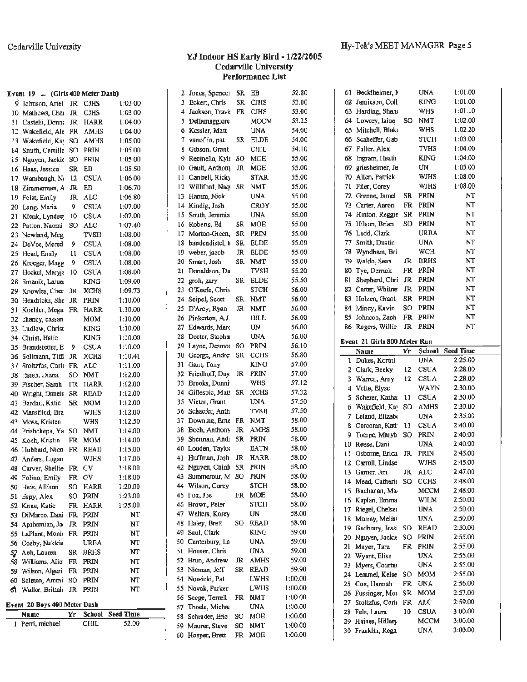## YJ Indoor HS Early Bird - 1/22/2005<br>Cedarville University Performance List

|     | Event 19  (Girls 400 Meter Dash) |       |             |                  | 2   | Jones, Spencer      |    | SR EB       | 52.80   |  |
|-----|----------------------------------|-------|-------------|------------------|-----|---------------------|----|-------------|---------|--|
|     | 9 Johnson, Ariel                 | JR    | <b>CJHS</b> | 1:03.00          | 3   | Eckert, Chris       | SR | <b>CJHS</b> | 53.00   |  |
|     | 10 Mathews, Char                 | JR    | <b>CHS</b>  | 1:03.00          | 4   | Jackson, Travi:     |    | FR CJHS     | 53.00   |  |
| 11  | Castelli, Donni                  | JR    | HARR        | 1:04.00          | 5   | Dellamaggiore,      |    | мссм        | 53.25   |  |
| 12  | Wakefield, Ale FR                |       | AMHS        | 1:04.00          | 6   | Kessler, Matt       |    | UNA         | 54.00   |  |
|     | 13 Wakefield, Kav                | SO    | AMHS        | 1:05.00          | 7   | vanoflin, pat       | SR | ELDE        | 54.00   |  |
|     | 14 Smith, Camille                | so    | PRIN        | 1:05.00          | 8   | Gibson, Grant       |    | CHIL        | 54.10   |  |
|     | 15 Nguyen, Jackie SO             |       | PRIN        | 1:05.00          | 9   | Recinella, Kyle     | so | <b>MOE</b>  | 55.00   |  |
|     | 16 Haas, Jessica                 | SR    | EB          | 1:05.50          | 10. | Gault, Anthony      | JR | MOE         | 55.00   |  |
| 17  | Wambaugh, Ni                     | 12    | <b>CSUA</b> | 1:06.00          | 11  | Cantrell, Ricky     |    | <b>STAR</b> | 55.00   |  |
| 18  | Zimmerman, A                     | JR.   | EB          | 1:06.70          | 12  | Williford, Naqv     | SR | NMT         | 55.00   |  |
|     | 19 Feist, Emily                  | JR.   | ALC         | 1:06.80          | 13. | Hamm, Nick          |    | UNA         | 55.00   |  |
|     | 20 Lang, Maria                   | 9     | <b>CSUA</b> | 1:07.00          | 14  | Kindig, Josh        |    | CROY        | 55.00   |  |
|     | 21 Klenk, Lyndse                 | 10    | CSUA        | 1:07.00          | 15  | South, Jeremia      |    | UNA         | 55.00   |  |
|     | 22 Patton, Naomi                 | SO.   | ALC         | 1:07.40          | 16  | Roberts, Ed         | SR | <b>MOE</b>  | 55.00   |  |
|     | 23 Newland, Meg.                 |       | TVSH        | 1:08.00          | 17  | Morton-Green,       | SR | PRIN        | 55.00   |  |
|     | 24 DeVoe, Mered                  | 9     | <b>CSUA</b> | 1:08.00          | 18  | baudendistel, t-    | SR | ELDE        | 55.00   |  |
|     | 25 Head, Emily                   | 11    | <b>CSUA</b> | 1:08.00          | 19  | weber, jacob        | JR | ELDE        | 55.00   |  |
|     | 26 Kroeger, Magg                 | 9     | CSUA        | 1:08.00          | 20  | Smart, Josh         | SR | NMT         | 55.00   |  |
|     | 27 Heckel, Maryja                | 10    | <b>CSUA</b> | 1:08.00          | 21  | Donaldson, Da       |    | TVSH        | 55.20   |  |
|     | 28 Smanik, Laruer                |       | KING        | 1:09.00          | 22  | groh, gary          | SR | <b>ELDE</b> | 55.50   |  |
|     | 29 Knowles, Cher                 | JR    | <b>XCHS</b> | 1:09.73          | 23  | O'Keefe, Chris      |    | STCH        | 56.00   |  |
|     | 30 Hendricks, She                | JR    | PRIN        | 1:10.00          | 24  | Seipel, Scott       | SR | <b>NMT</b>  | 56.00   |  |
|     | 31 Koehler, Mega FR              |       | HARR        | 1:10.00          | 25  | D'Arcy, Ryan        | я  | <b>NMT</b>  | 56.00   |  |
| 32  | chancy, cassan                   |       | <b>MOM</b>  | 1:10.00          | 26  | Pinkerton, A.J.     |    | HILL        | 56.00   |  |
|     | 33 Ludlow, Christ                |       | KING        | 1:10.00          | 27  | Edwards, Marc       |    | UN          | 56.00   |  |
|     | 34 Christ, Halie                 |       | KING        | 1:10.00          | 28  | Deeter, Stepha      |    | UNA         | 56.00   |  |
| 35  | Brandstetter, E                  | 9     | <b>CSUA</b> | 1:10.00          |     | 29 Layne, Desmot SO |    | <b>PRIN</b> | 56.10   |  |
|     | 36 Sollmann, Tiffi               | JR    | <b>XCHS</b> | 1:10.41          | 30  | George, Andre       | SR | CCHS        | 56.80   |  |
| 37. | Stoltzfus, Corii FR              |       | ALC         | 1:11.00          | 31  | Gant, Tony          |    | <b>KING</b> | 57.00   |  |
|     | 38 Hsieh, Diana                  | SO    | <b>NMT</b>  | 1:12.00          | 32  | Friedhoff, Day      | JR | PRIN        | 57.00   |  |
|     | 39 Fischer, Sarah                | FR    | HARR        | 1:12.00          | 33  | Brooks, Donni       |    | WHS         | 57.12   |  |
| 40  | Wright, Daneis SR                |       | <b>READ</b> | 1:12.00          | 34  | Gillespic, Matt SR  |    | <b>XCHS</b> | 57.32   |  |
| 41. | Bardau, Katie                    | SR    | MOM         | 1:12.00          | 35  | Vietor, Grant       |    | UNA         | 57.50   |  |
|     | 42 Mansfiled, Bra                |       | WJHS        | 1:12.00          | 36  | Schaefer, Anth      |    | <b>TVSH</b> | 57.50   |  |
|     | 43 Moss, Kristen                 |       | WHS         | 1:12.50          | 37  | Downing, Erne FR    |    | NMT         | 58.00   |  |
|     | 44 Prishchepa, Ya                | so    | <b>NMT</b>  | 1:14.00          | 38  | Boeh, Anthony       | JR | AMHS        | 58.00   |  |
|     | 45 Koch, Kristin                 | FR    | <b>MOM</b>  | 1:14.00          | 39  | Sherman, Andi SR    |    | <b>PRIN</b> | 58.00   |  |
|     | 46 Hubbard, Nico                 | FR    | <b>READ</b> | 1:15.00          | 40  | Louden, Taylor      |    | EATN        | 58.00   |  |
| 47  | Anders, Logan                    |       | WIHS        | 1:17.00          | 41  | Huffman, Josh       | JR | HARR        | 58.00   |  |
|     | 48 Carver, Shellie FR            |       | GV          | 1:18.00          |     | 42 Nguyen, Chinh    | SR | PRIN        | 58.00   |  |
|     | 49 Folino, Emily                 | FR GV |             | 1:18.00          |     | 43 Summerour, M SO  |    | PRIN        | 58.00   |  |
|     | 50 Heis, Allison                 | SO    | HARR        | 1:20.00          |     | 44 Wilson, Corey    |    | STCH        | 58.00   |  |
|     | 51 Espy, Alex                    | SO.   | PRIN        | 1:23.00          |     | 45 Fox, Joe         | FR | MOE         | 58.00   |  |
|     | 52 Knue, Katie                   |       | FR HARR     | 1:25.00          |     | 46 Brown, Peter     |    | <b>STCH</b> | 58.00   |  |
|     | 53 DiMarco, Dani FR PRIN         |       |             | NT               | 47  | Walters, Korey      |    | UN          | 58.00   |  |
|     | 54 Aprhamian, Ja                 | JR    | PRIN        | NT               |     | 48 Haley, Brett     | so | <b>READ</b> | 58.90   |  |
|     | 55 LaPlant, Monic FR             |       | PRIN        | NT               | 49. | Saul, Clark         |    | <b>KING</b> | 59.00   |  |
|     | 56 Cosby, Nakkia                 |       | URBA        | NT               |     | 50 Canterbury, La   |    | UNA         | 59.00   |  |
|     | 57 Ach, Lauren                   | SR    | <b>BRHS</b> | NT               |     | 51 Houser, Chris    |    | UNA         | 59.00   |  |
|     | 58 Williams, Alici FR            |       | PRIN        | NT               |     | 52 Brun, Andrew     | ж  | AMHS        | 59.00   |  |
|     | 59 Wilson, Algeri: FR            |       | PRIN        | NT               | 53  | Nieman, Jeff        | SR | READ        | 59.90   |  |
|     | 60 Selman, Ammi SO               |       | PRIN        | NT               |     | 54 Nowieki, Pat     |    | LWHS        | 1:00.00 |  |
| 61. | Waller, Brittair JR PRIN         |       |             | NT               |     | 55 Novak, Parker    |    | <b>LWHS</b> | 1:00.00 |  |
|     |                                  |       |             |                  | 56  | Seege, Terrell      | FR | <b>NMT</b>  | 1:00.00 |  |
|     | Event 20 Boys 400 Meter Dash     |       |             |                  |     | 57 Thoele, Michau   |    | UNA         | 1:00.00 |  |
|     | Name                             | Yr    | School      | <b>Seed Time</b> | 58  | Schrader, Eric      | SO | MOE         | 1:00.00 |  |
|     | 1 Perri, michael                 |       | <b>CHIL</b> | 52.00            | 59. | Maurer, Steve       | SO | <b>NMT</b>  | 1:00.00 |  |
|     |                                  |       |             |                  |     | 60 Hoeper, Brett    | FR | MOE         | 1:00.00 |  |

| 61       | Becklheimer, N                    |     | <b>UNA</b>  | 1:01.00            |
|----------|-----------------------------------|-----|-------------|--------------------|
| 62       | Jamicson, Coll                    |     | KING        | 1:01.00            |
| 63       | Harding, Shans                    |     | WHS         | 1:01.10            |
| 64       | Lowrey, laine                     | SO  | <b>NMT</b>  | 1:02.00            |
| 65       | Mitchell, Blake                   |     | WHS         | 1:02.20            |
| 66       | Scaheffer, Gab                    |     | STCH        | 1:03.00            |
| 67       | Fuller, Alex                      |     | TVHS        | 1:04.00            |
| 68       | Ingram, Heath                     |     | KING        | 1:04.00            |
| 69       | griesheimer, Je                   |     | UN          | 1:05.00            |
| 70       | Allen, Patrick                    |     | WJHS        | 1:08.00            |
| 71       | Filer, Corey                      |     | WJHS        | 1:08.00            |
| 72       | Greene, Jamel                     | SR  | PRIN        | NT                 |
| 73       | Carter, Aaron                     | FR  | PRIN        | NT                 |
| 74       | Hinton, Reggie                    | SR  | PRIN        | NT                 |
| 75       | Hilson, Brian                     | SO  | PRIN        | NT                 |
| 76       |                                   |     | URBA        | NT                 |
|          | Ladd, Clark                       |     |             | NT                 |
| 77       | Smith, Dustin                     |     | UNA         |                    |
| 78       | Wyndham, Bri                      |     | WCH         | NT                 |
| 79       | Waldo, Sean                       | JR  | BRHS        | NT                 |
| 80       | Tye, Derrick                      | FR  | PRIN        | NT                 |
| 81       | Shepherd, Chri                    | JR  | PRIN        | NT                 |
| 82       | Carter, Whitne                    | JR  | PRIN        | NT                 |
| 83       | Holzen, Grant                     | SR. | PRIN        | NT                 |
| 84       | Mincy, Kevin                      | SO. | <b>PRIN</b> | NT                 |
| 85       | Johnson, Zach                     | FR  | PRIN        | NT                 |
| 86       | Rogers, Willie                    | JR  | PRIN        | NT                 |
|          | Event 21 Girls 800 Meter Run      |     |             |                    |
|          | Name                              | Yr  | School      | <b>Seed Time</b>   |
|          |                                   |     | UNA         | 2:25.00            |
|          |                                   |     |             |                    |
| 1        | Dukes, Kortni                     | 12  | CSUA        | 2:28.00            |
|          | 2 Clark, Beeky                    | 12  | <b>CSUA</b> | 2:28.00            |
| 3        | Warren, Amy                       |     |             | 2:30.00            |
| 4        | Velte, Elyse                      |     | WAYN        |                    |
| s        | Scherer, Katha                    | 11  | <b>CSUA</b> | 2:30.00            |
| 6        | Wakefield, Kav                    | SO. | AMHS        | 2:30.00            |
| 7        | Leland, Elizabe                   |     | UNA         | 2:35.00<br>2:40.00 |
| 8        | Corcoran, Kath                    | 11  | <b>CSUA</b> | 2:40.00            |
| 9        | Toerpe, Maryb                     | SO. | PRIN        | 2:40.00            |
| 10       | Reese, Dani                       |     | <b>UNA</b>  |                    |
| 11       | Osborne, Erica                    | JR  | PRIN        | 2:45.00            |
| 12       | Carroll, Lindse                   |     | WJHS        | 2:45.00            |
| 13       | Garner, Jen                       | JR. | ALC         | 2:47.00            |
| 14       | Mead, Catherin                    | SO  | CCHS        | 2:48.00            |
| 15       | Buchanan, Ma-                     |     | MCCM        | 2:48.00            |
| 16       | Kaplan, Emma                      |     | WILM        | 2:50.00            |
| 17       | Riegel, Chelsea                   |     | UNA         | 2:50.00            |
| 18       | Murray, Meliss                    |     | UNA         | 2:50.00            |
| 19       | Gadberry, Jessi                   | SO  | READ        | 2:50.00            |
| 20       | Nguyen, Jackit                    | so  | PRIN        | 2:55.00            |
| 21       | Mayer, Tara                       | FR  | PRIN        | 2:55.00            |
| 22       | Wyant, Elise                      |     | UNA         | 2:55.00            |
| 23       | Myers, Courtne                    |     | UNA         | 2:55.00            |
| 24       | Lemmel, Kelse                     | SO  | MOM         | 2:55.00            |
| 25       | Cox, Hannah                       | FR  | UNA         | 2:56.00            |
| 26       | Fussinger, Mor                    | SR  | MOM         | 2:57.00            |
| 27       | Stoltzfus, Corii                  | FR  | ALC         | 2:59.00            |
| 28       | Fels, Laura                       | 10  | CSUA        | 3:00.00            |
| 29<br>30 | Haines, Hillary<br>Franklin, Rega |     | MCCM<br>UNA | 3:00.00<br>3:00.00 |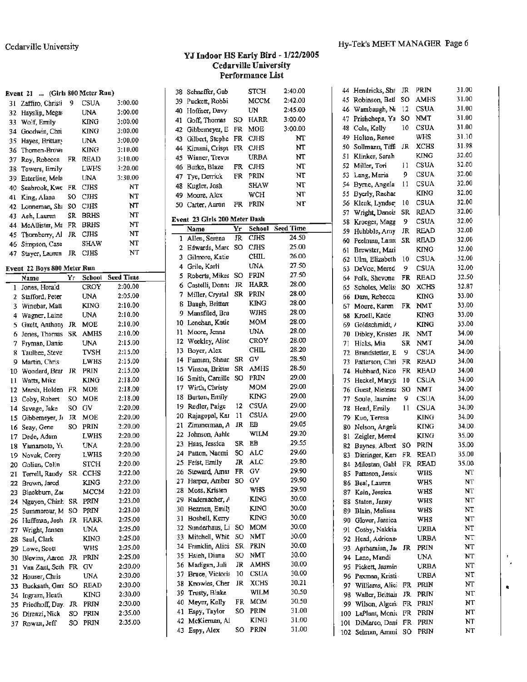#### YJ Indoor HS Early Bird - 1/22/2005 **Cedarville University** Performance List

|     | Event 21  (Girls 800 Meter Run) |     |             |                    |     | 38 Schaeffer, Gab             |    | STCH        | 2:40.00          |
|-----|---------------------------------|-----|-------------|--------------------|-----|-------------------------------|----|-------------|------------------|
| 31  | Zaffiro, Christi                | 9   | <b>CSUA</b> | 3:00.00            |     | 39 Puckett, Robbi             |    | MCCM        | 2:42.00          |
| 32  | Hayslip, Megas                  |     | <b>UNA</b>  | 3:00.00            |     | 40 Hoffner, Davy              |    | UN          | 2:45.00          |
| 33  | Wolf, Emily                     |     | KING        | 3:00.00            | 41  | Goff, Thomas                  | SO | <b>HARR</b> | 3:00.00          |
| 34  | Goodwin, Chri                   |     | KING        | 3:00.00            | 42  | Gibbemeyer, E                 | FR | MOE         | 3:00.00          |
| 35  | Hayes, Brittan                  |     | UNA         | 3:00.00            |     | 43 Gilbert, Stephe            | FR | <b>CJHS</b> | NT               |
| 36  | Thomen-Brow                     |     | KING        | 3:10.00            | 44  | Kimani, Crispt                | FR | <b>CJHS</b> | NT               |
| 37  | Roy, Robecca                    | FR  | READ        | 3:10.00            | 45  | Winner, Trevor                |    | <b>URBA</b> | NT               |
| 38  | Towers, Emily                   |     | LWHS        | 3:20.00            |     | 46 Burke, Blaze               | FR | <b>CJHS</b> | NT               |
| 39  | Esterline, Mela                 |     | <b>UNA</b>  | 3:30.00            | 47  | Tye, Derrick                  | FR | PRIN        | NT               |
| 40  | Seabrook, Kwt                   | FR  | CJHS        | NT                 | 48  | Kugler, Josh                  |    | SHAW        | NT               |
| 41  | King, Alana                     | SO  | <b>CJHS</b> | NT                 | 49. | Moore, Alex                   |    | WCH         | NT               |
| 42  | Lonneman, Sh:                   | so  | CJHS        | NT                 |     | 50 Carter, Aaron              | FR | <b>PRIN</b> | NT               |
| 43  | Ach, Lauren                     | SR  | <b>BRHS</b> | NT                 |     |                               |    |             |                  |
| 44  | McAllister, Ma                  | FR  | <b>BRHS</b> | NT                 |     | Event 23 Girls 200 Meter Dash |    |             |                  |
| 45  | Thomberry, Al                   | JR  | <b>CJHS</b> | NT                 |     | Name                          | Yr | School      | <b>Seed Time</b> |
| 46. | Simpson, Case                   |     | SHAW        | NT                 |     | 1 Allen, Serena               | JR | <b>CJHS</b> | 24.50            |
| 47. | Stayer, Lauren                  | JR  | <b>CJHS</b> | NT                 | 2   | Edwards, Marc                 | so | <b>CIHS</b> | 25.00            |
|     |                                 |     |             |                    | 3   | Gilmore, Katie                |    | CHIL        | 26.00            |
|     | Event 22 Boys 800 Meter Run     |     |             |                    | 4   | Grile, Karli                  |    | <b>UNA</b>  | 27.50            |
|     | Name                            | Yr  | School      | <b>Seed Time</b>   | 5   | Roberts, Mikea                | so | <b>PRIN</b> | 27.50            |
|     | 1 Jones, Horald                 |     | CROY        | 2:00.00            | 6   | Castelli, Donna               | JR | HARR        | 28.00            |
| 2   | Stafford, Peter                 |     | UNA         | 2:05.00            | 7   | Miller, Crystal               | SR | <b>PRIN</b> | 28.00            |
| 3   | Winebar, Matt                   |     | <b>KING</b> | 2:10.00            | 8   | Baugh, Brittan                |    | <b>KING</b> | 28.00            |
| 4   | Wagner, Laine                   |     | UNA         | 2:10.00            | 9   | Mansfiled, Bra                |    | WJHS        | 28.00            |
| 5   | Gault, Anthony                  | JR  | <b>MOE</b>  | 2:10.00            | 10  | Lenehan, Katie                |    | MOM         | 28.00            |
| 6   | Jones, Thomas                   | SR  | AMHS        | 2:10.00            | 11  | Moore, Jenna                  |    | UNA         | 28.00            |
| 7   | Fryman, Danie                   |     | UNA         | 2:15.00            | 12  | Weekley, Alisc                |    | CROY        | 28.00            |
| 8   | Taulbee, Steve:                 |     | TVSH        | 2:15.00            | 13  | Boyer, Alex                   |    | CHIL        | 28.20            |
| 9   | Martin, Chris                   |     | LWHS        | 2:15.00            | 14  | Furman, Shaur.                | SR | G٧          | 28.50            |
| 10  | Woodard, Brar                   | JR  | PRIN        | 2:15.00            | 15  | Vinson, Brittar               | SR | AMHS        | 28.50            |
| 11  | Watts, Mike                     |     | KING        | 2:18.00            | 16  | Smith, Camille                | SO | PRIN        | 29.00            |
| 12  | Marsh, Holden                   | FR  | MOE         | 2:18.00            | 17  | Wirth, Christy                |    | мом         | 29.00            |
| 13  | Coby, Robert                    | so  | MOE         | 2:18.00            | 18  | Burton, Emily                 |    | <b>KING</b> | 29.00            |
| 14  | Savage, Jake                    | so  | G٧          | 2:20.00            | 19  | Redler, Paige                 | 12 | CSUA        | 29.00            |
| 15  | Gibbemeyer, Ja                  | JR  | MOE         | 2:20.00            | 20  | Rajagopal, Kar                | 11 | CSUA        | 29.00            |
| lб  | Seay, Gene                      | SO  | PRIN        | 2:20.00            | 21  | Zimmerman, A                  | JR | EB          | 29.05            |
| 17  | Dede, Adam                      |     | <b>LWHS</b> | 2:20.00            | 22  | Johnson, Ashle                |    | WILM        | 29.20            |
| 18  | Yamamoto, Yu                    |     | UNA         | 2:20.00            | 23  | Haas, Jessica                 | SR | EB          | 29.55            |
|     | 19 Novak, Corey                 |     | LWHS        | 2:20.00            | 24  | Patton, Naomi                 | SO | ALC         | 29.60            |
|     | 20 Golian, Colin                |     | <b>STCH</b> | 2:20.00            |     | 25 Feist, Emily               | JR | ALC         | 29.80            |
| 21  | Terrell, Randy                  |     | SR CCHS     | 2:22.00            |     | 26 Steward, Amar              | FR | GV          | 29.90            |
|     | 22 Brown, Jared                 |     | KING        | 2:22.00            | 27  | Harper, Amber                 | so | GV          | 29.90            |
| 23  | Blackburn, Zac                  |     | MCCM        | 2:22.00            | 28  | Moss, Kristen                 |    | WHS         | 29.90            |
|     | 24 Nguyen, Chinh                | SR  | PRIN        | 2:23.00            |     | 29 Rademacher, A              |    | KING        | 30.00            |
| 25  | Summerour, M                    | SO. | PRIN        | 2:23.00            | 30  | Bezmen, Emily                 |    | KING        | 30.00            |
|     | 26 Huffman, Josh                | JR  | <b>HARR</b> | 2:25.00            |     | 31 Boshell, Kerry             |    | KING        | 30.00            |
|     | Wright, Jansen                  |     | UNA         | 2:25.00            | 32  | Sunderhaus, Li                | so | <b>MOM</b>  | 30.00            |
| 27  | 28 Saul, Clark                  |     | KING        | 2:25.00            | 33  | Mitchell, Whit                | SO | NMT         | 30.00            |
|     |                                 |     | <b>WHS</b>  | 2:25.00            | 34  | Franklin, Alici               | SR | PRIN        | 30.00            |
| 29  | Lowe, Scott                     |     |             | 2:25.00            | 35  | Hsieh, Diana                  | SO | NMT         | 30.00            |
| 30  | Blevins, Aaron                  | JR  | PRIN        |                    |     | 36 Madigan, Juli              | JR | AMHS        | 30.00            |
| 31  | Van Zant, Seth FR               |     | GV          | 2:30.00<br>2:30.00 |     | 37 Bruce, Victoria            | 10 | CSUA        | 30.00            |
| 32  | Houser, Chris                   |     | <b>UNA</b>  |                    |     | 38 Knowles, Cher              | JR | <b>XCHS</b> | 30.21            |
| 33  | Bucksath, Garr SO               |     | <b>READ</b> | 2:30.00            | 39  | Trusty, Blake                 |    | WILM        | 30.50            |
| 34  | Ingram, Heath                   |     | KING        | 2:30.00            | 40  | Meyer, Kelly                  | FR | мом         | 30.50            |
|     | 35 Friedhoff, Day.              | JR  | PRIN        | 2:30.00            | 41  | Espy, Taylor                  | so | PRIN        | 31.00            |
|     | 36 Direnzi, Nick                | SO  | PRIN        | 2:35.00            | 42  | McKiernan, Al                 |    | <b>KING</b> | 31.00            |
|     | 37 Rowan, Jeff                  | SO  | PRIN        | 2:35.00            |     |                               | SO | PRIN        | 31.00            |
|     |                                 |     |             |                    |     | 43 Espy, Alex                 |    |             |                  |

| 44  | Hendricks, Sha   | JR        | PRJN        | 31.00    |
|-----|------------------|-----------|-------------|----------|
| 45  | Robinson, Betl   | SO        | AMHS        | 31.00    |
| 46  | Wambaugh, Ni     | 12        | <b>CSUA</b> | 31.00    |
| 47  | Prishchepa, Ya   | so        | NMT         | 31.00    |
| 48  | Cole, Kelly      | 10        | CSUA        | 31.00    |
| 49  | Holton, Renee    |           | WHS         | 31.10    |
| 50  | Sollmann, Tiffi  | JR        | <b>XCHS</b> | 31.98    |
| 51  | Klinker, Sarah   |           | KING        | 32.00    |
| 52  | Miller, Tori     | 11        | CSUA        | 32.00    |
| 53  | Lang, Maria      | 9         | CSUA        | 32.00    |
| 54  | Byrne, Angela    | 11        | CSUA        | 32.00    |
| 55  |                  |           | KING        | 32.00    |
|     | Byerly, Rachae   | 10        | CSUA        | 32.00    |
| 56  | Klenk, Lyndse    |           | READ        | 32.00    |
| 57  | Wright, Daneis   | SR        |             |          |
| 58  | Kroeger, Magg    | 9         | CSUA        | 32.00    |
| 59  | Huhbble, Amy     | JR        | READ        | 32.00    |
| 60  | Peelman, Laure   | SR        | READ        | 32.00    |
| 61  | Brewster, Mari   |           | KING        | 32.00    |
| 62  | Ulm, Elizabeth   | 10        | CSUA        | 32.00    |
| 63  | DeVoe, Mered     | 9         | CSUA        | 32.00    |
| 64  | Polk, Shevona    | FR        | READ        | 32.50    |
| 65  | Scholes, Melis:  | SO        | <b>XCHS</b> | 32.87    |
| 66  | Dam, Rebecca     |           | <b>KING</b> | 33.00    |
| 67  | Moore, Karen     | FR        | NMT         | 33.00    |
| 68  | Kroell, Katie    |           | <b>KING</b> | 33.00    |
| 69  | Goldschmidt, /   |           | <b>KING</b> | 33.00    |
| 70  | Dibley, Kristen  | JR        | NMT         | 34.00    |
| 71  | Hicks, Mia       | SR        | NMT         | 34.00    |
| 72  | Brandstetter, E  | 9         | CSUA        | 34.00    |
| 73  | Patterson, Chri  | FR        | READ        | 34.00    |
| 74  | Hubbard, Nico    | FR        | READ        | 34.00    |
| 75  | Heckel, Maryja   | 10        | <b>CSUA</b> | 34.00    |
|     |                  | so        | NMT         | 34.00    |
| 76  | Guest, Nietese:  | 9         |             | 34.00    |
| 77  | Soule, Jasmine   |           | CSUA        | 34.00    |
| 78  | Head, Emily      | 11        | <b>CSUA</b> | 34.00    |
| 79  | Kuo, Teresa      |           | <b>KING</b> |          |
| 80  | Nelson, Angela   |           | <b>KING</b> | 34.00    |
| 81  | Zeigler, Mered   |           | KING        | 35.00    |
| 82  | Baynes, Albert   | so        | PRIN        | 35.00    |
| 83  | Dieringer, Ken   | FR        | READ        | 35.00    |
| 84  | Milostan, Gabt   | <b>FR</b> | <b>READ</b> | 35.00    |
| 85  | Patteson, Jessio |           | WHS         | ΝT       |
| 86  | Beal, Lauren     |           | WHS         | NT       |
| 87  | Kain, Jessica    |           | WHS         | NT       |
| 88  | Staten, Janay    |           | WHS         | NT       |
| 89  | Blain, Melissa   |           | WHS         | NT       |
| 90  | Glover, Jessica  |           | WHS         | NT       |
| 91  | Cosby, Nakkia    |           | URBA        | NT       |
| 92  | Head, Adrienn    |           | <b>URBA</b> | NT       |
| 93  | Aprhamian, Ja    | я         | PRIN        | NT       |
| 94  | Lane, Mandi      |           | UNA         | NT       |
| 95  | Pickett, Jasmin- |           | URBA        | NT       |
| 96  | Paxman, Kristi   |           | URBA        | NT       |
| 97  | Williams, Alic.  | FR        | PRIN        | NT       |
|     | Walter, Brittain | JR        | PRIN        | NT       |
| 98  |                  |           |             | NT       |
| 99  | Wilson, Algeri:  | FR        | PRIN        |          |
| 100 | LaPlant, Monic   | FR        | PRIN        | NΤ<br>NT |
| 101 | DiMarco, Dani    | FR        | PRIN        |          |
| 102 | Selman, Ammi     | so        | PRJN        | NT       |

.50

 $00.$ 

 $00$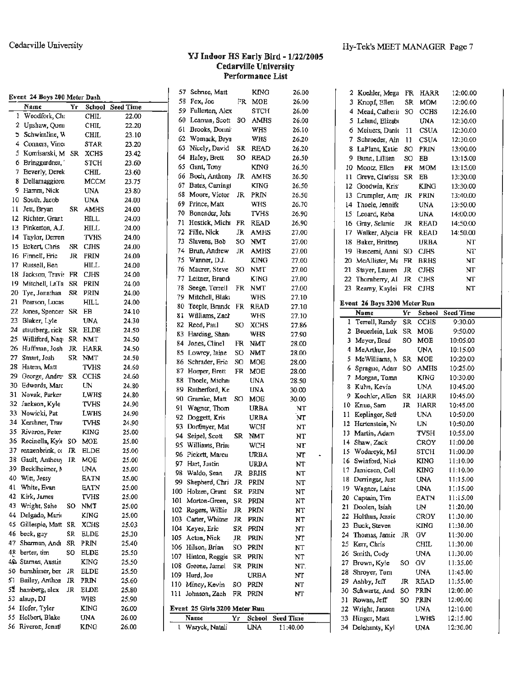#### YJ Indoor HS Early Bird - 1/22/2005 **Cedarville University** Performance List

|     | Event 24 Boys 200 Meter Dash |    |             |                  |     | 57 Schnee, Matt               |     | <b>KING</b> | 26.00            |                 | 2 Koehler Mega FR HARR       |           |               | 12:00.00         |
|-----|------------------------------|----|-------------|------------------|-----|-------------------------------|-----|-------------|------------------|-----------------|------------------------------|-----------|---------------|------------------|
|     | Name                         | Ÿr |             | School Seed Time | 58  | Fox, Joe                      | FR  | MOE         | 26.00            |                 | 3 Knopf, Ellen               | SR        | <b>MOM</b>    | 12:00.00         |
|     | 1 Woodfork, Chr              |    | <b>CHIL</b> | 22.00            | 59  | Fullerton, Alex               |     | <b>STCH</b> | 26.00            |                 | 4 Mead, Catherit SO          |           | CCHS          | 12:26.00         |
|     | 2 Upshaw, Quen               |    | CHIL        | 22.20            | 60  | Learnan, Scott                | SO  | AMHS        | 26.00            |                 | 5 Leland, Elizabo            |           | UNA           | 12:30.00         |
|     | S Schwimline, W              |    | <b>CHIL</b> | 23.10            | 61  | Brooks, Donni                 |     | WHS         | 26.10            | 6               | Meiuers, Danie 11            |           | <b>CSUA</b>   | 12:30.00         |
|     | Conners, Vine                |    | <b>STAR</b> | 23.20            | 62  | Womack, Brya                  |     | WHS         | 26.20            | 7.              | Schroeder, Ain               | 11        | <b>CSUA</b>   | 12:30.00         |
|     | 5 Komisarski, M SR           |    | <b>XCHS</b> | 23.42            | 63  | Nicely, David                 | SR  | <b>READ</b> | 26.20            | 8               | LaPlant, Katie               | SO        | PRIN          | 13:00.00         |
| 6   | Bringgardner,                |    | <b>STCH</b> | 23.60            | 64  | Haley, Brett                  | SO. | <b>READ</b> | 26.50            | 9.              | Bunn, Lillien                | SO        | EB            | 13:15.00         |
|     | 7 Beverly, Derek             |    | <b>CHIL</b> | 23.60            | 65  | Gant, Tony                    |     | <b>KING</b> | 26.50            | 10              | Mootz, Ellen                 | FR.       | <b>MOM</b>    | 13:15.00         |
| 8   | Dellamaggiore                |    | <b>MCCM</b> | 23.75            | 66  | Boeh Anthony JR AMHS          |     |             | 26.50            | 11              | Greve, Clarissa SR           |           | EB            | 13:30.00         |
| 9.  | Hamm, Nick                   |    | <b>UNA</b>  | 23.80            | 67  | Bates, Carring                |     | <b>KING</b> | 26.50            | 12              | Goodwin, Kris                |           | KING          | 13:30.00         |
| 10. | South, Jacob                 |    | <b>UNA</b>  | 24.00            | 68  | Moore, Victor                 |     | JR PRIN     | 26.50            | 13              | Crumpler, Amy JR             |           | PRIN          | 13:40.00         |
| 11  | Jett, Bryan                  |    | SR AMHS     | 24.00            | 69  | Prince, Matt                  |     | <b>WHS</b>  | 26.70            | 14              | Thoele, Jennife              |           | <b>UNA</b>    | 13:50.00         |
|     | 12 Richter, Grant            |    | HILL        | 24.00            | 70  | Bonender, Joh.                |     | <b>TVHS</b> | 26.90            | 15 <sup>°</sup> | Leoard, Reba                 |           | <b>UNA</b>    | 14:00.00         |
|     | 13 Pinkerton, A.J.           |    | <b>HILL</b> | 24.00            | 71. | Hostick, Micha                | FR  | <b>READ</b> | 26.90            |                 | 16 Gray, Selanie             | JR        | <b>READ</b>   | 14:50.00         |
| 14  | Taylor, Derron               |    | <b>TVHS</b> |                  | 72  | Fille, Nick                   | JR  | AMHS        | 27.00            |                 | 17 Walker, Alycia            | FR        | <b>READ</b>   | 14:50.00         |
|     |                              | SR |             | 24.00            | 73  | Slavens, Bob                  | SO. | <b>NMT</b>  | 27.00            | 18              | Baker, Brittney              |           | <b>URBA</b>   | NT               |
| 15. | Eckert, Chris                |    | <b>CJHS</b> | 24.00            | 74  | Brun, Andrew                  | JR  | AMHS        | 27.00            | 19.             | Buscemi, Anni SO CJHS        |           |               | NT               |
|     | 16 Finnell, Eric             |    | JR PRIN     | 24.00            | 75  | Wanner, D.J.                  |     | <b>KING</b> | 27.00            | 20.             | McAllister, Mt FR BRHS       |           |               | NT               |
|     | 17 Russell, Ben              |    | HILL.       | 24.00            | 76  | Maurer, Steve                 | SO  | <b>NMT</b>  | 27.00            | 21              | Stayer, Lauren               | JR        | <b>CJHS</b>   | <b>NT</b>        |
| 18. | Jackson, Travi: FR CJHS      |    |             | 24.00            | 77  | Leitner, Brandt               |     | <b>KING</b> | 27.00            | 22              | Thornberry, Al JR            |           | CJHS          | NT               |
| 19. | Mitchell, LaTa               | SR | PRIN        | 24.00            | 78  | Seege, Terrell                |     | FR NMT      | 27.00            |                 | 23 Reamy, Kaylei FR CJHS     |           |               | NT               |
| 20  | Tye, Jonathan                |    | SR PRIN     | 24.00            | 79  | Mitchell, Blaka               |     | <b>WHS</b>  | 27.10            |                 |                              |           |               |                  |
| 21  | Pearson, Lucas               |    | HILL        | 24.00            | 80  | Teeple, Brandc FR             |     | <b>READ</b> | 27.10            |                 | Event 26 Boys 3200 Meter Run |           |               |                  |
| 22  | Jones, Spencer SR EB         |    |             | 24.10            | 81  | Williams, Zach                |     | WHS         | 27.10            |                 | Name                         | Ýr        | <b>School</b> | <b>Seed Time</b> |
|     | 23 Blaker, Lyle              |    | UNA         | 24.30            | 82  | Reed, Paul                    | SO  | <b>XCHS</b> | 27.86            |                 | 1 Terrell, Randy             | SR        | CCHS          | 9:30.00          |
| 24  | stautberg, rick              |    | SR ELDE     | 24.50            | 83  | Harding, Shane                |     | WHS         | 27.90            |                 | 2 Beuerlein, Luk             |           | SR MOE        | 9:50.00          |
|     | 25 Williford, Naq            |    | SR NMT      | 24.50            | 84  | Jones, Clinel                 | FR  | <b>NMT</b>  | 28.00            |                 | 3 Meyer, Brad                |           | SO MOE        | 10:05.00         |
|     | 26 Huffman, Josh             |    | JR HARR     | 24.50            | 85  | Lowrey, laine                 | SO. | <b>NMT</b>  | 28.00            |                 | 4 MeArthur, Joe              |           | UNA           | 10:15.00         |
|     | 27 Smart, Josh               |    | SR NMT      | 24.50            | 86  | Schrader, Eric                | SO. | <b>MOE</b>  | 28.00            | 5.              | McWilliams, N                |           | SR MOE        | 10:20.00         |
|     | 28 Hatem, Matt               |    | <b>TVHS</b> | 24.60            | 87  | Hoeper, Brett                 | FR. | MOE         | 28.00            |                 | 6 Sprague, Adarr SO          |           | <b>AMHS</b>   | 10:25.00         |
| 29. | George, Andre SR             |    | <b>CCHS</b> | 24.60            | 88  | Thoele, Michar                |     | <b>UNA</b>  | 28.50            |                 | 7 Morgan, Tomn               |           | <b>KING</b>   | 10:30.00         |
|     | 30 Edwards, Marc             |    | UN          | 24.80            | 89  | Rutherford, Ke                |     | <b>UNA</b>  | 30.00            | 8.              | Kuhn, Kevin                  |           | <b>UNA</b>    | 10:45.00         |
|     | 31 Novak, Parker             |    | LWHS        | 24.80            | 90  | Gramke, Matt SO               |     | <b>MOE</b>  | 30.00            | 9.              | Koehler, Allen               | SR        | <b>HARR</b>   | 10:45.00         |
|     | 32 Jackson, Kyle             |    | <b>TVHS</b> | 24.90            | 91  | Wagner, Thom                  |     | <b>URBA</b> | NT               | 10              | Knue, Sam                    | JR        | HARR          | 10:45.00         |
|     | 33 Nowicki, Pat              |    | <b>LWHS</b> | 24.90            | 92  | Doggett, Kris                 |     | <b>URBA</b> | NT               |                 | 11 Keplinger, Seth           |           | <b>UNA</b>    | 10:50.00         |
|     | 34 Kershner, Trav            |    | <b>TVHS</b> | 24.90            | 93  | Dorfmyer, Mat                 |     | WCH         | NT               |                 | 12 Hertenstein, No           |           | UN            | 10:50.00         |
|     | 35 Riveron, Peter            |    | <b>KING</b> | 25.00            | 94  | Seipel, Scott                 | SR  | <b>NMT</b>  | NT               |                 | 13 Martin, Adam              |           | <b>TVSH</b>   | 10:55.00         |
|     | 36 Recinella, Kyle SO        |    | <b>MOE</b>  | 25.00            | 95  | Williams, Bria                |     | <b>WCH</b>  | NT               |                 | 14 Shaw, Zack                |           | <b>CROY</b>   | 11:00.00         |
|     | 37 renzenbrink, co           | JR | <b>ELDE</b> | 25.00            | 96  | Pickett, Marcu                |     | <b>URBA</b> | NT               | 15              | Wodarcyk, Mil                |           | STCH          | 11:00.00         |
|     | 38 Gault, Anthouy            | JR | MOE         | 25.00            |     | 97 Hart, Justin               |     | <b>URBA</b> | <b>NT</b>        |                 | 16 Swinford, Nick            |           | <b>KING</b>   | 11:10.00         |
|     | 39 Becklheimer, N            |    | <b>UNA</b>  | 25.00            |     | 98 Waldo, Sean                |     | JR BRHS     | $\bf{NT}$        |                 | 17 Jamieson, Coll            |           | KING          | 11:10.00         |
|     | 40 Witt, Jessy               |    | <b>EATN</b> | 25.00            |     |                               |     |             |                  |                 | 18 Derringer, Just           |           | UNA           | 11:15.00         |
|     | 41 White, Evan               |    | <b>EATN</b> | 25.00            |     | 99 Shepherd, Chri JR          |     | PRIN        | NT               |                 | 19 Wagner, Laine             |           | <b>UNA</b>    | 11:15.00         |
|     | 42 Kirk, James               |    | <b>TVHS</b> | 25.00            |     | 100 Holzen, Grant             |     | SR PRIN     | NT               |                 | 20 Captain, Tim              |           | EATN          | 11:15.00         |
|     | 43 Wright, Sahe              |    | SO NMT      | 25.00            | 101 | Morton-Green, SR PRIN         |     |             | NT               |                 | 21 Doolen, Isiah             |           | UN            | 11:20.00         |
|     | 44 Delgado, Mario            |    | <b>KING</b> | 25.00            |     | 102 Rogers, Willie            |     | JR PRIN     | NT               |                 | 22 Holthus, Jessie           |           | CROY          | 11:30.00         |
|     | 45 Gillespie, Matt SR XCHS   |    |             | 25.03            |     | 103 Carter, Whitne            |     | JR PRIN     | NT               |                 | 23 Buck, Steven              |           | <b>KING</b>   | 11:30.00         |
|     | 46 beck, guy                 | SR | <b>ELDE</b> | 25.30            |     | 104 Keyes, Eric               | SR  | PRIN        | NT               | 24              | Thomas, Jamie                | JR        | GV            | 11:30.00         |
|     | 47 Sherman, Andi             |    | SR PRIN     | 25.40            |     | 105 Acton, Nick               |     | JR PRIN     | NT               |                 | 25 Kerr, Chris               |           | <b>CHIL</b>   | 11:30.00         |
|     | 48 berter, tim               |    | SO ELDE     | 25.50            |     | 106 Hilson, Brian             |     | SO PRIN     | NT               |                 | 26 Smith, Cody               |           | <b>UNA</b>    | 11:30.00         |
|     | 40 Starnes, Austin           |    | <b>KING</b> | 25.50            |     | 107 Hinton, Reggie            |     | SR PRIN     | NT               |                 | 27 Brown, Kyle               |           | G٧            |                  |
|     | 50 burnhimer, ber            | JR | <b>ELDE</b> | 25.50            |     | 108 Greene, Jamel             |     | SR PRIN     | NT.              |                 |                              | SO        |               | 11:35.00         |
|     | 51 Bailey, Anthon            | JR | PRIN        | 25.60            |     | 109 Hurd, Joe                 |     | <b>URBA</b> | NT               | 28              | Shroyer, Tom                 |           | <b>UNA</b>    | 11:45.00         |
|     | 52 hamberg, alex             |    |             |                  |     | 110 Mincy, Kevin              |     | SO PRIN     | NT               | 29              | Ashby, Jeff                  | JR        | READ          | 11:55.00         |
|     |                              |    | JR ELDE     | 25.80            | 111 | Johnson, Zach                 |     | FR PRIN     | NT               | 30.             | Schwartz, And                | <b>SO</b> | PRIN          | 12:00.00         |
|     | 53 alsup, DJ                 |    | WHS         | 25.90            |     |                               |     |             |                  | 31              | Rowan, Jeff                  | SO        | PRIN          | 12:00.00         |
|     | 54 Hofer, Tyler              |    | <b>KING</b> | 26.00            |     | Event 25 Girls 3200 Meter Run |     |             |                  | 32              | Wright, Jansen               |           | <b>UNA</b>    | 12:10.00         |
|     | 55 Holbert, Blake            |    | <b>UNA</b>  | 26.00            |     | <b>Name</b>                   | Yr  | School      | <b>Seed Time</b> | 33              | Hinger, Matt                 |           | LWHS          | 12:15.00         |
|     | 56 Riveron, Jonatl           |    | KING        | 26.00            |     | 1 Waryck, Natali              |     | <b>UNA</b>  | 11:40.00         |                 | 34 Delehanty, Kyl            |           | UNA           | 12:30.00         |